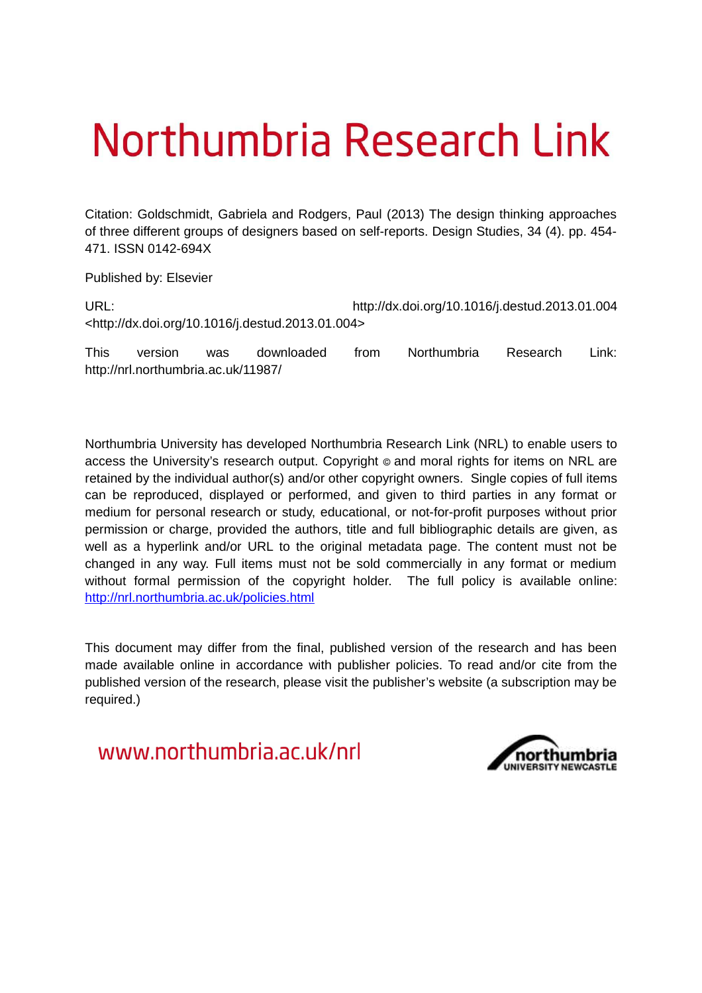# Northumbria Research Link

Citation: Goldschmidt, Gabriela and Rodgers, Paul (2013) The design thinking approaches of three different groups of designers based on self-reports. Design Studies, 34 (4). pp. 454- 471. ISSN 0142-694X

Published by: Elsevier

URL: http://dx.doi.org/10.1016/j.destud.2013.01.004 <http://dx.doi.org/10.1016/j.destud.2013.01.004>

This version was downloaded from Northumbria Research Link: http://nrl.northumbria.ac.uk/11987/

Northumbria University has developed Northumbria Research Link (NRL) to enable users to access the University's research output. Copyright  $\circ$  and moral rights for items on NRL are retained by the individual author(s) and/or other copyright owners. Single copies of full items can be reproduced, displayed or performed, and given to third parties in any format or medium for personal research or study, educational, or not-for-profit purposes without prior permission or charge, provided the authors, title and full bibliographic details are given, as well as a hyperlink and/or URL to the original metadata page. The content must not be changed in any way. Full items must not be sold commercially in any format or medium without formal permission of the copyright holder. The full policy is available online: <http://nrl.northumbria.ac.uk/policies.html>

This document may differ from the final, published version of the research and has been made available online in accordance with publisher policies. To read and/or cite from the published version of the research, please visit the publisher's website (a subscription may be required.)

www.northumbria.ac.uk/nrl

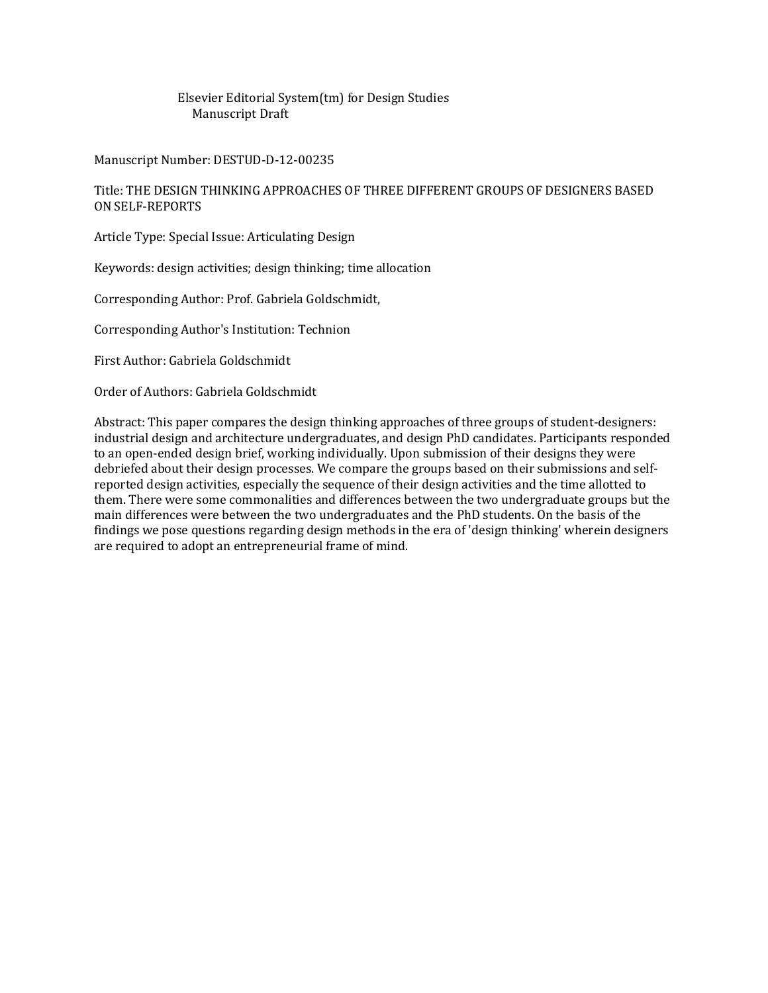Elsevier Editorial System(tm) for Design Studies Manuscript Draft

Manuscript Number: DESTUD-D-12-00235

#### Title: THE DESIGN THINKING APPROACHES OF THREE DIFFERENT GROUPS OF DESIGNERS BASED ON SELF-REPORTS

Article Type: Special Issue: Articulating Design

Keywords: design activities; design thinking; time allocation

Corresponding Author: Prof. Gabriela Goldschmidt,

Corresponding Author's Institution: Technion

First Author: Gabriela Goldschmidt

Order of Authors: Gabriela Goldschmidt

Abstract: This paper compares the design thinking approaches of three groups of student-designers: industrial design and architecture undergraduates, and design PhD candidates. Participants responded to an open-ended design brief, working individually. Upon submission of their designs they were debriefed about their design processes. We compare the groups based on their submissions and selfreported design activities, especially the sequence of their design activities and the time allotted to them. There were some commonalities and differences between the two undergraduate groups but the main differences were between the two undergraduates and the PhD students. On the basis of the findings we pose questions regarding design methods in the era of 'design thinking' wherein designers are required to adopt an entrepreneurial frame of mind.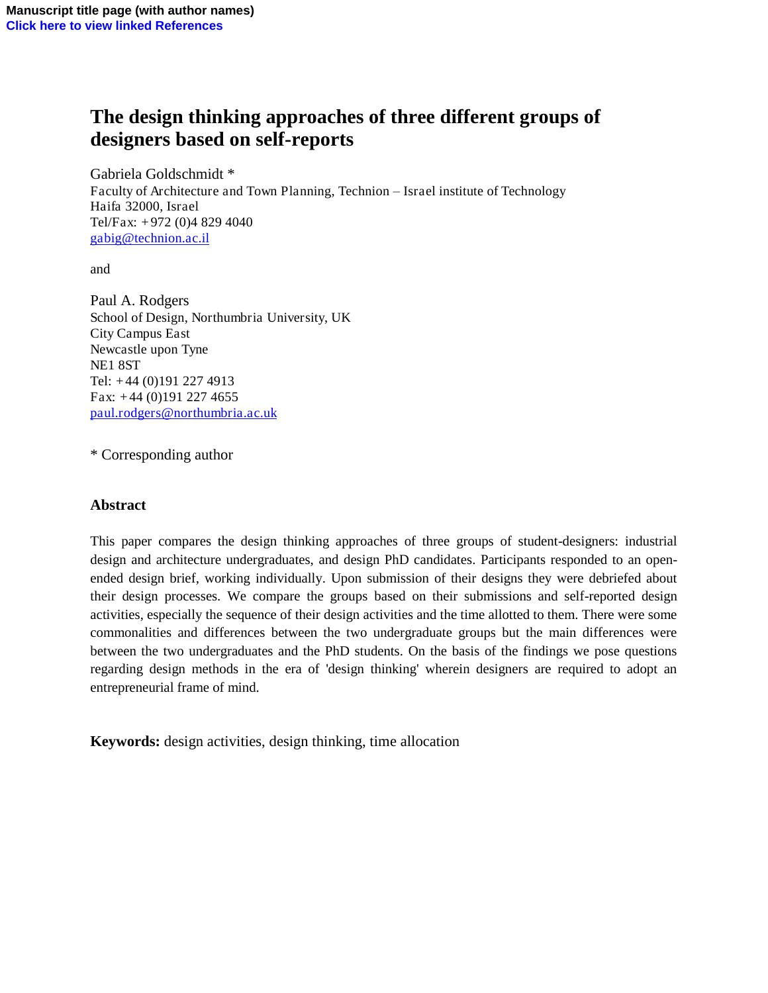Gabriela Goldschmidt \* Faculty of Architecture and Town Planning, Technion *–* Israel institute of Technology Haifa 32000, Israel Tel/Fax: + 972 (0)4 829 4040 [gabig@technion.ac.il](mailto:gabig@technion.ac.il)

and

Paul A. Rodgers School of Design, Northumbria University, UK City Campus East Newcastle upon Tyne NE1 8ST Tel: + 44 (0)191 227 4913 Fax: + 44 (0)191 227 4655 [paul.rodgers@northumbria.ac.uk](mailto:paul.rodgers@northumbria.ac.uk)

\* Corresponding author

#### **Abstract**

This paper compares the design thinking approaches of three groups of student-designers: industrial design and architecture undergraduates, and design PhD candidates. Participants responded to an openended design brief, working individually. Upon submission of their designs they were debriefed about their design processes. We compare the groups based on their submissions and self-reported design activities, especially the sequence of their design activities and the time allotted to them. There were some commonalities and differences between the two undergraduate groups but the main differences were between the two undergraduates and the PhD students. On the basis of the findings we pose questions regarding design methods in the era of 'design thinking' wherein designers are required to adopt an entrepreneurial frame of mind.

**Keywords:** design activities, design thinking, time allocation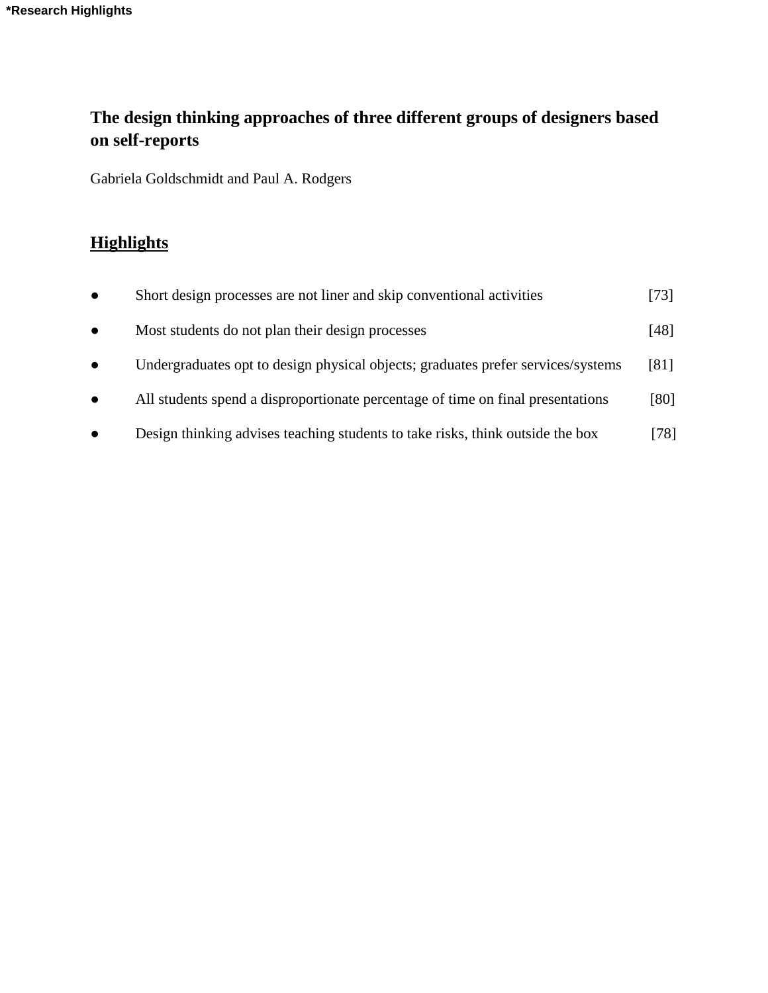Gabriela Goldschmidt and Paul A. Rodgers

## **Highlights**

| $\bullet$ | Short design processes are not liner and skip conventional activities            | $[73]$ |
|-----------|----------------------------------------------------------------------------------|--------|
| $\bullet$ | Most students do not plan their design processes                                 | [48]   |
| $\bullet$ | Undergraduates opt to design physical objects; graduates prefer services/systems | [81]   |
| $\bullet$ | All students spend a disproportionate percentage of time on final presentations  | [80]   |
|           | Design thinking advises teaching students to take risks, think outside the box   | 781    |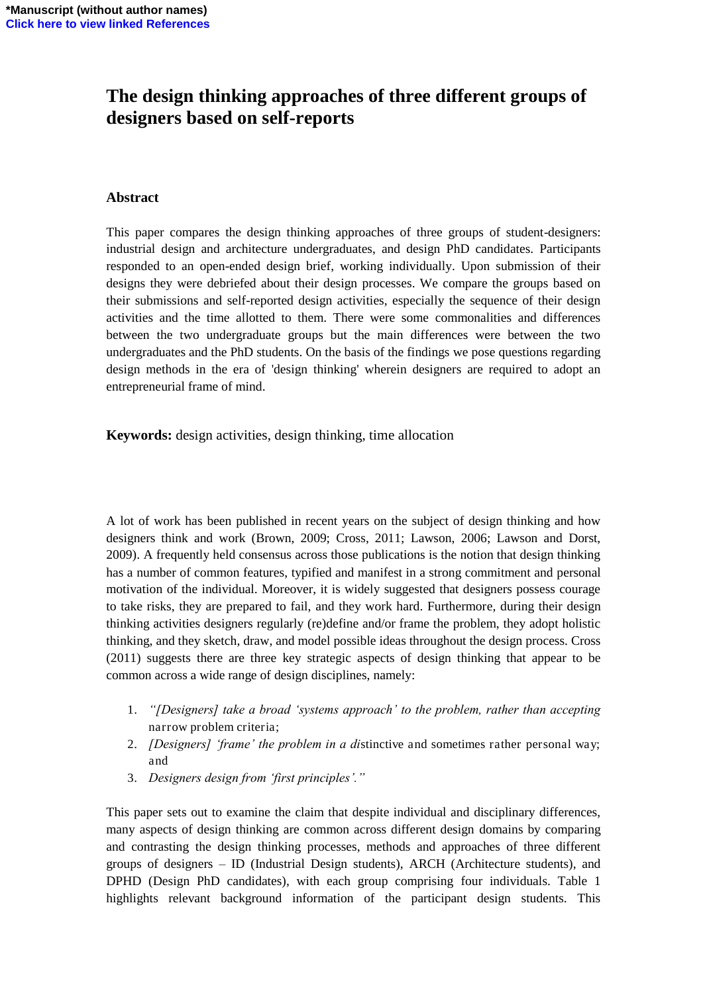#### **Abstract**

This paper compares the design thinking approaches of three groups of student-designers: industrial design and architecture undergraduates, and design PhD candidates. Participants responded to an open-ended design brief, working individually. Upon submission of their designs they were debriefed about their design processes. We compare the groups based on their submissions and self-reported design activities, especially the sequence of their design activities and the time allotted to them. There were some commonalities and differences between the two undergraduate groups but the main differences were between the two undergraduates and the PhD students. On the basis of the findings we pose questions regarding design methods in the era of 'design thinking' wherein designers are required to adopt an entrepreneurial frame of mind.

**Keywords:** design activities, design thinking, time allocation

A lot of work has been published in recent years on the subject of design thinking and how designers think and work (Brown, 2009; Cross, 2011; Lawson, 2006; Lawson and Dorst, 2009). A frequently held consensus across those publications is the notion that design thinking has a number of common features, typified and manifest in a strong commitment and personal motivation of the individual. Moreover, it is widely suggested that designers possess courage to take risks, they are prepared to fail, and they work hard. Furthermore, during their design thinking activities designers regularly (re)define and/or frame the problem, they adopt holistic thinking, and they sketch, draw, and model possible ideas throughout the design process. Cross (2011) suggests there are three key strategic aspects of design thinking that appear to be common across a wide range of design disciplines, namely:

- 1. *"[Designers] take a broad "systems approach' to the problem, rather than accepting*  narrow problem criteria;
- 2. *[Designers] "frame' the problem in a di*stinctive and sometimes rather personal way; and
- 3. *Designers design from "first principles'."*

This paper sets out to examine the claim that despite individual and disciplinary differences, many aspects of design thinking are common across different design domains by comparing and contrasting the design thinking processes, methods and approaches of three different groups of designers – ID (Industrial Design students), ARCH (Architecture students), and DPHD (Design PhD candidates), with each group comprising four individuals. Table 1 highlights relevant background information of the participant design students. This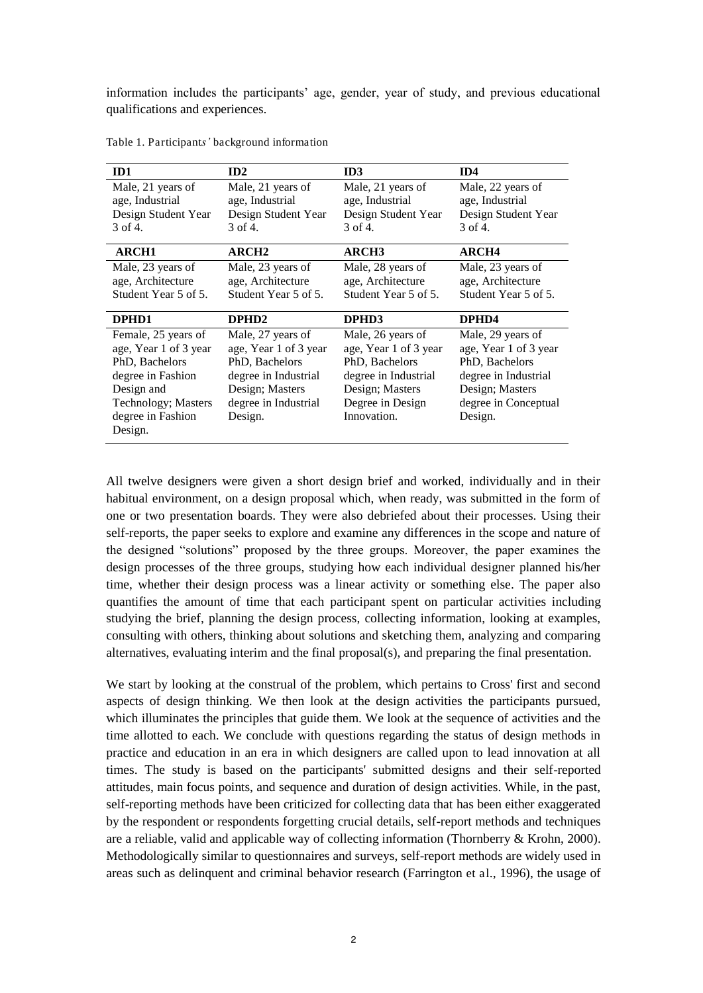information includes the participants' age, gender, year of study, and previous educational qualifications and experiences.

| ID1                                                                                                                                                      | ID2                                                                                                                                        | ID3                                                                                                                                        | ID4                                                                                                                                        |
|----------------------------------------------------------------------------------------------------------------------------------------------------------|--------------------------------------------------------------------------------------------------------------------------------------------|--------------------------------------------------------------------------------------------------------------------------------------------|--------------------------------------------------------------------------------------------------------------------------------------------|
| Male, 21 years of<br>age, Industrial<br>Design Student Year                                                                                              | Male, 21 years of<br>age, Industrial<br>Design Student Year                                                                                | Male, 21 years of<br>age, Industrial<br>Design Student Year                                                                                | Male, 22 years of<br>age, Industrial<br>Design Student Year                                                                                |
| $3$ of 4.                                                                                                                                                | 3 of 4.                                                                                                                                    | 3 of 4.                                                                                                                                    | 3 of 4.                                                                                                                                    |
| <b>ARCH1</b>                                                                                                                                             | <b>ARCH2</b>                                                                                                                               | ARCH <sub>3</sub>                                                                                                                          | <b>ARCH4</b>                                                                                                                               |
| Male, 23 years of<br>age, Architecture<br>Student Year 5 of 5.                                                                                           | Male, 23 years of<br>age, Architecture<br>Student Year 5 of 5.                                                                             | Male, 28 years of<br>age, Architecture<br>Student Year 5 of 5.                                                                             | Male, 23 years of<br>age, Architecture<br>Student Year 5 of 5.                                                                             |
| DPHD1                                                                                                                                                    | DPHD <sub>2</sub>                                                                                                                          | DPHD3                                                                                                                                      | DPHD4                                                                                                                                      |
| Female, 25 years of<br>age, Year 1 of 3 year<br>PhD, Bachelors<br>degree in Fashion<br>Design and<br>Technology; Masters<br>degree in Fashion<br>Design. | Male, 27 years of<br>age, Year 1 of 3 year<br>PhD, Bachelors<br>degree in Industrial<br>Design; Masters<br>degree in Industrial<br>Design. | Male, 26 years of<br>age, Year 1 of 3 year<br>PhD, Bachelors<br>degree in Industrial<br>Design; Masters<br>Degree in Design<br>Innovation. | Male, 29 years of<br>age, Year 1 of 3 year<br>PhD, Bachelors<br>degree in Industrial<br>Design; Masters<br>degree in Conceptual<br>Design. |

Table 1. Participant*s'* background information

All twelve designers were given a short design brief and worked, individually and in their habitual environment, on a design proposal which, when ready, was submitted in the form of one or two presentation boards. They were also debriefed about their processes. Using their self-reports, the paper seeks to explore and examine any differences in the scope and nature of the designed "solutions" proposed by the three groups. Moreover, the paper examines the design processes of the three groups, studying how each individual designer planned his/her time, whether their design process was a linear activity or something else. The paper also quantifies the amount of time that each participant spent on particular activities including studying the brief, planning the design process, collecting information, looking at examples, consulting with others, thinking about solutions and sketching them, analyzing and comparing alternatives, evaluating interim and the final proposal(s), and preparing the final presentation.

We start by looking at the construal of the problem, which pertains to Cross' first and second aspects of design thinking. We then look at the design activities the participants pursued, which illuminates the principles that guide them. We look at the sequence of activities and the time allotted to each. We conclude with questions regarding the status of design methods in practice and education in an era in which designers are called upon to lead innovation at all times. The study is based on the participants' submitted designs and their self-reported attitudes, main focus points, and sequence and duration of design activities. While, in the past, self-reporting methods have been criticized for collecting data that has been either exaggerated by the respondent or respondents forgetting crucial details, self-report methods and techniques are a reliable, valid and applicable way of collecting information (Thornberry & Krohn, 2000). Methodologically similar to questionnaires and surveys, self-report methods are widely used in areas such as delinquent and criminal behavior research (Farrington et al., 1996), the usage of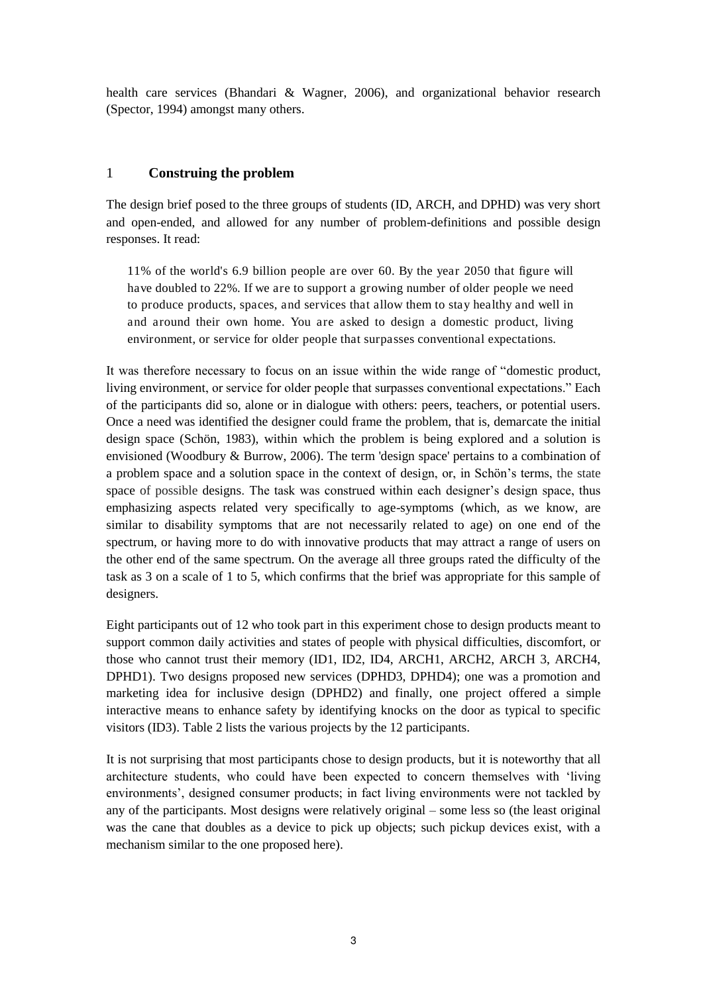health care services (Bhandari & Wagner, 2006), and organizational behavior research (Spector, 1994) amongst many others.

#### 1 **Construing the problem**

The design brief posed to the three groups of students (ID, ARCH, and DPHD) was very short and open-ended, and allowed for any number of problem-definitions and possible design responses. It read:

11% of the world's 6.9 billion people are over 60. By the year 2050 that figure will have doubled to 22%. If we are to support a growing number of older people we need to produce products, spaces, and services that allow them to stay healthy and well in and around their own home. You are asked to design a domestic product, living environment, or service for older people that surpasses conventional expectations.

It was therefore necessary to focus on an issue within the wide range of "domestic product, living environment, or service for older people that surpasses conventional expectations." Each of the participants did so, alone or in dialogue with others: peers, teachers, or potential users. Once a need was identified the designer could frame the problem, that is, demarcate the initial design space (Schön, 1983), within which the problem is being explored and a solution is envisioned (Woodbury & Burrow, 2006). The term 'design space' pertains to a combination of a problem space and a solution space in the context of design, or, in Schön's terms, the state space of possible designs. The task was construed within each designer's design space, thus emphasizing aspects related very specifically to age-symptoms (which, as we know, are similar to disability symptoms that are not necessarily related to age) on one end of the spectrum, or having more to do with innovative products that may attract a range of users on the other end of the same spectrum. On the average all three groups rated the difficulty of the task as 3 on a scale of 1 to 5, which confirms that the brief was appropriate for this sample of designers.

Eight participants out of 12 who took part in this experiment chose to design products meant to support common daily activities and states of people with physical difficulties, discomfort, or those who cannot trust their memory (ID1, ID2, ID4, ARCH1, ARCH2, ARCH 3, ARCH4, DPHD1). Two designs proposed new services (DPHD3, DPHD4); one was a promotion and marketing idea for inclusive design (DPHD2) and finally, one project offered a simple interactive means to enhance safety by identifying knocks on the door as typical to specific visitors (ID3). Table 2 lists the various projects by the 12 participants.

It is not surprising that most participants chose to design products, but it is noteworthy that all architecture students, who could have been expected to concern themselves with "living environments', designed consumer products; in fact living environments were not tackled by any of the participants. Most designs were relatively original – some less so (the least original was the cane that doubles as a device to pick up objects; such pickup devices exist, with a mechanism similar to the one proposed here).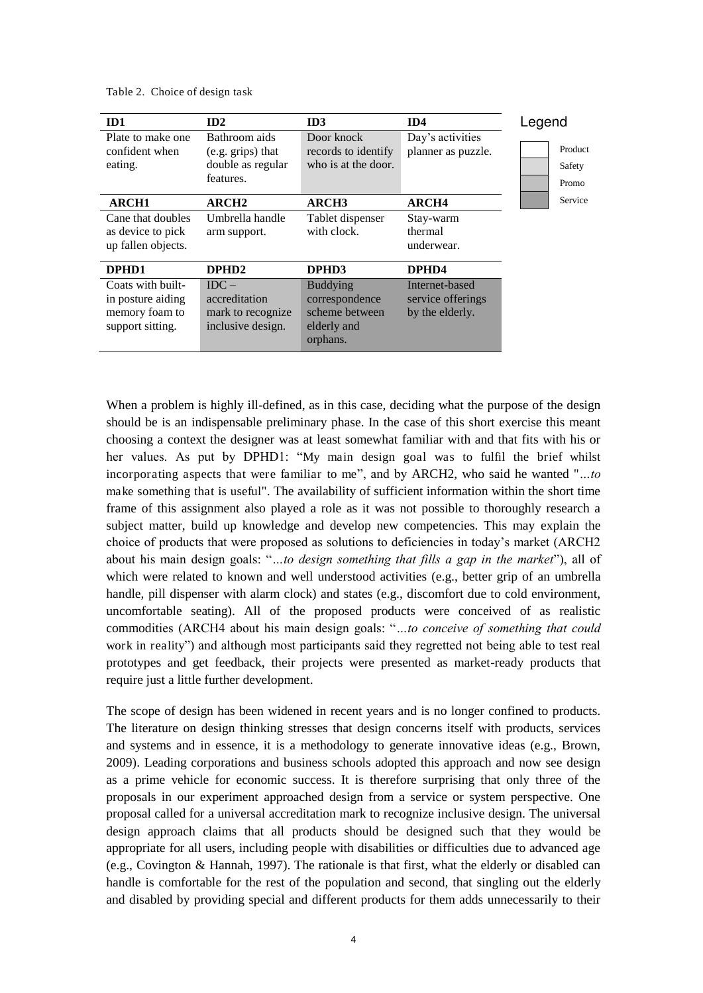| ID1<br>Plate to make one<br>confident when<br>eating.                        | ID2<br>Bathroom aids<br>(e.g. grips) that<br>double as regular<br>features. | ID3<br>Door knock<br>records to identify<br>who is at the door.                | ID4<br>Day's activities<br>planner as puzzle.          | Legend<br>Product<br>Safety<br>Promo |
|------------------------------------------------------------------------------|-----------------------------------------------------------------------------|--------------------------------------------------------------------------------|--------------------------------------------------------|--------------------------------------|
| <b>ARCH1</b>                                                                 | ARCH <sub>2</sub>                                                           | ARCH <sub>3</sub>                                                              | ARCH4                                                  | Service                              |
| Cane that doubles<br>as device to pick<br>up fallen objects.                 | Umbrella handle<br>arm support.                                             | Tablet dispenser<br>with clock.                                                | Stay-warm<br>thermal<br>underwear.                     |                                      |
| DPHD1                                                                        | DPHD <sub>2</sub>                                                           | DPHD3                                                                          | DPHD <sub>4</sub>                                      |                                      |
| Coats with built-<br>in posture aiding<br>memory foam to<br>support sitting. | $IDC -$<br>accreditation<br>mark to recognize<br>inclusive design.          | <b>Buddying</b><br>correspondence<br>scheme between<br>elderly and<br>orphans. | Internet-based<br>service offerings<br>by the elderly. |                                      |

Table 2. Choice of design task

When a problem is highly ill-defined, as in this case, deciding what the purpose of the design should be is an indispensable preliminary phase. In the case of this short exercise this meant choosing a context the designer was at least somewhat familiar with and that fits with his or her values. As put by DPHD1: "My main design goal was to fulfil the brief whilst incorporating aspects that were familiar to me", and by ARCH2, who said he wanted "*…to*  make something that is useful". The availability of sufficient information within the short time frame of this assignment also played a role as it was not possible to thoroughly research a subject matter, build up knowledge and develop new competencies. This may explain the choice of products that were proposed as solutions to deficiencies in today's market (ARCH2 about his main design goals: "*…to design something that fills a gap in the market*"), all of which were related to known and well understood activities (e.g., better grip of an umbrella handle, pill dispenser with alarm clock) and states (e.g., discomfort due to cold environment, uncomfortable seating). All of the proposed products were conceived of as realistic commodities (ARCH4 about his main design goals: "*…to conceive of something that could*  work in reality") and although most participants said they regretted not being able to test real prototypes and get feedback, their projects were presented as market-ready products that require just a little further development.

The scope of design has been widened in recent years and is no longer confined to products. The literature on design thinking stresses that design concerns itself with products, services and systems and in essence, it is a methodology to generate innovative ideas (e.g., Brown, 2009). Leading corporations and business schools adopted this approach and now see design as a prime vehicle for economic success. It is therefore surprising that only three of the proposals in our experiment approached design from a service or system perspective. One proposal called for a universal accreditation mark to recognize inclusive design. The universal design approach claims that all products should be designed such that they would be appropriate for all users, including people with disabilities or difficulties due to advanced age (e.g., Covington & Hannah, 1997). The rationale is that first, what the elderly or disabled can handle is comfortable for the rest of the population and second, that singling out the elderly and disabled by providing special and different products for them adds unnecessarily to their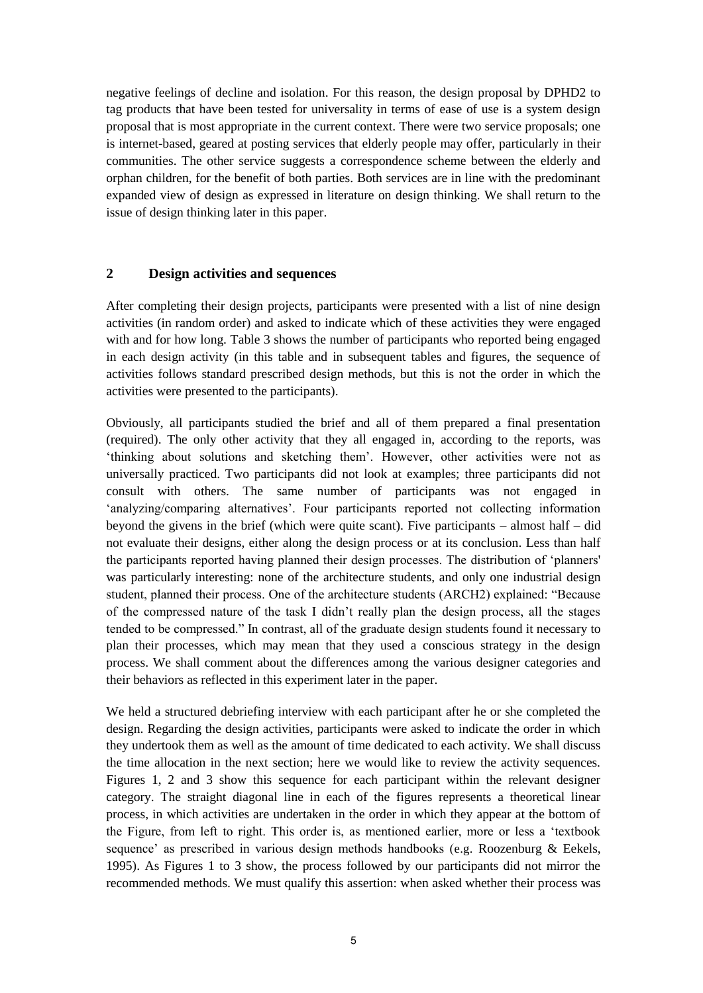negative feelings of decline and isolation. For this reason, the design proposal by DPHD2 to tag products that have been tested for universality in terms of ease of use is a system design proposal that is most appropriate in the current context. There were two service proposals; one is internet-based, geared at posting services that elderly people may offer, particularly in their communities. The other service suggests a correspondence scheme between the elderly and orphan children, for the benefit of both parties. Both services are in line with the predominant expanded view of design as expressed in literature on design thinking. We shall return to the issue of design thinking later in this paper.

#### **2 Design activities and sequences**

After completing their design projects, participants were presented with a list of nine design activities (in random order) and asked to indicate which of these activities they were engaged with and for how long. Table 3 shows the number of participants who reported being engaged in each design activity (in this table and in subsequent tables and figures, the sequence of activities follows standard prescribed design methods, but this is not the order in which the activities were presented to the participants).

Obviously, all participants studied the brief and all of them prepared a final presentation (required). The only other activity that they all engaged in, according to the reports, was "thinking about solutions and sketching them'. However, other activities were not as universally practiced. Two participants did not look at examples; three participants did not consult with others. The same number of participants was not engaged in 'analyzing/comparing alternatives'. Four participants reported not collecting information beyond the givens in the brief (which were quite scant). Five participants – almost half – did not evaluate their designs, either along the design process or at its conclusion. Less than half the participants reported having planned their design processes. The distribution of "planners' was particularly interesting: none of the architecture students, and only one industrial design student, planned their process. One of the architecture students (ARCH2) explained: "Because of the compressed nature of the task I didn't really plan the design process, all the stages tended to be compressed." In contrast, all of the graduate design students found it necessary to plan their processes, which may mean that they used a conscious strategy in the design process. We shall comment about the differences among the various designer categories and their behaviors as reflected in this experiment later in the paper.

We held a structured debriefing interview with each participant after he or she completed the design. Regarding the design activities, participants were asked to indicate the order in which they undertook them as well as the amount of time dedicated to each activity. We shall discuss the time allocation in the next section; here we would like to review the activity sequences. Figures 1, 2 and 3 show this sequence for each participant within the relevant designer category. The straight diagonal line in each of the figures represents a theoretical linear process, in which activities are undertaken in the order in which they appear at the bottom of the Figure, from left to right. This order is, as mentioned earlier, more or less a "textbook sequence' as prescribed in various design methods handbooks (e.g. Roozenburg & Eekels, 1995). As Figures 1 to 3 show, the process followed by our participants did not mirror the recommended methods. We must qualify this assertion: when asked whether their process was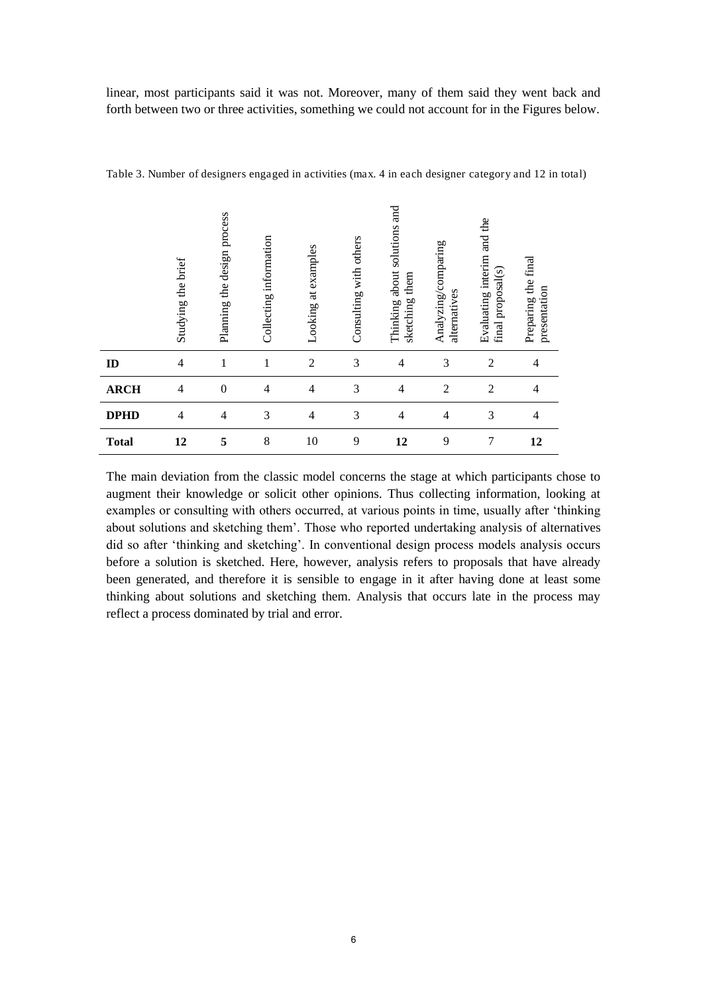linear, most participants said it was not. Moreover, many of them said they went back and forth between two or three activities, something we could not account for in the Figures below.

|              | Studying the brief | Planning the design process | Collecting information | Looking at examples | Consulting with others | Thinking about solutions and<br>them<br>sketching | Analyzing/comparing<br>alternatives | Evaluating interim and the<br>final proposal(s) | Preparing the final<br>presentation |
|--------------|--------------------|-----------------------------|------------------------|---------------------|------------------------|---------------------------------------------------|-------------------------------------|-------------------------------------------------|-------------------------------------|
| ID           | $\overline{4}$     | 1                           | 1                      | $\overline{2}$      | 3                      | $\overline{4}$                                    | 3                                   | $\overline{2}$                                  | $\overline{4}$                      |
| <b>ARCH</b>  | $\overline{4}$     | $\boldsymbol{0}$            | $\overline{4}$         | $\overline{4}$      | 3                      | $\overline{4}$                                    | $\overline{2}$                      | $\overline{2}$                                  | $\overline{4}$                      |
| <b>DPHD</b>  | 4                  | $\overline{4}$              | 3                      | $\overline{4}$      | 3                      | $\overline{4}$                                    | $\overline{4}$                      | 3                                               | $\overline{4}$                      |
| <b>Total</b> | 12                 | 5                           | 8                      | 10                  | 9                      | 12                                                | 9                                   | 7                                               | 12                                  |

Table 3. Number of designers engaged in activities (max. 4 in each designer category and 12 in total)

The main deviation from the classic model concerns the stage at which participants chose to augment their knowledge or solicit other opinions. Thus collecting information, looking at examples or consulting with others occurred, at various points in time, usually after "thinking about solutions and sketching them'. Those who reported undertaking analysis of alternatives did so after "thinking and sketching'. In conventional design process models analysis occurs before a solution is sketched. Here, however, analysis refers to proposals that have already been generated, and therefore it is sensible to engage in it after having done at least some thinking about solutions and sketching them. Analysis that occurs late in the process may reflect a process dominated by trial and error.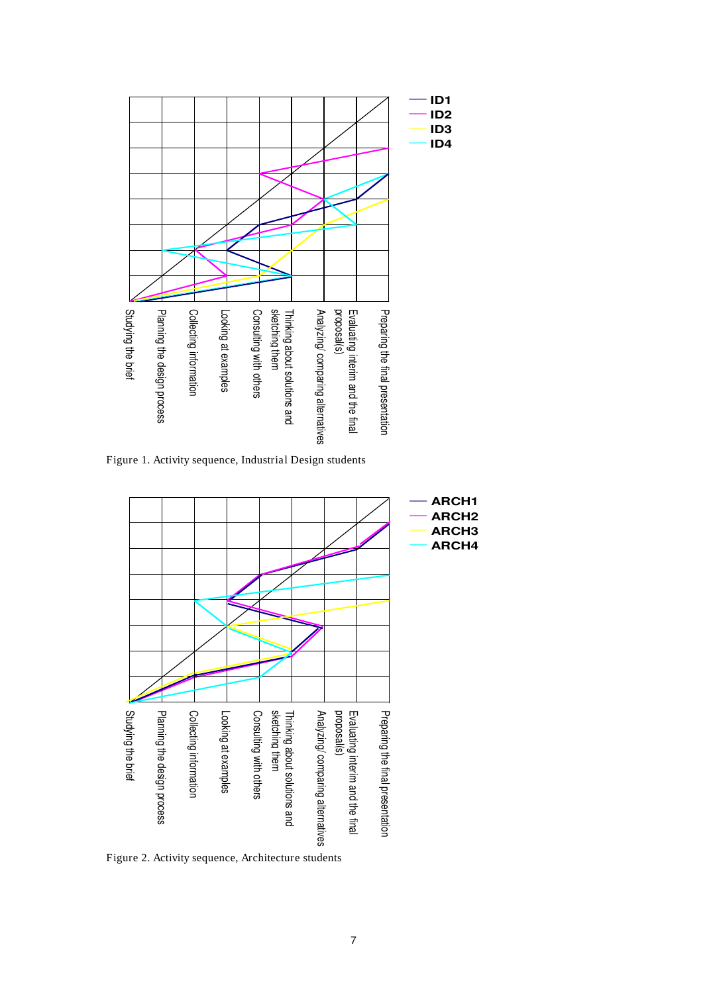

Figure 1. Activity sequence, Industrial Design students



Figure 2. Activity sequence, Architecture students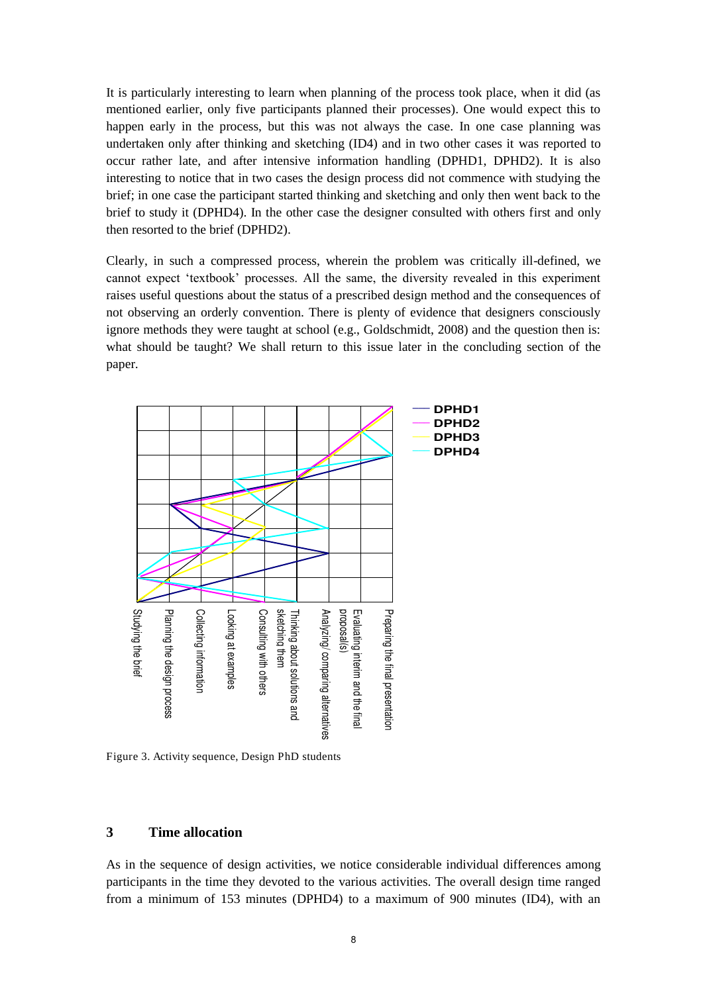It is particularly interesting to learn when planning of the process took place, when it did (as mentioned earlier, only five participants planned their processes). One would expect this to happen early in the process, but this was not always the case. In one case planning was undertaken only after thinking and sketching (ID4) and in two other cases it was reported to occur rather late, and after intensive information handling (DPHD1, DPHD2). It is also interesting to notice that in two cases the design process did not commence with studying the brief; in one case the participant started thinking and sketching and only then went back to the brief to study it (DPHD4). In the other case the designer consulted with others first and only then resorted to the brief (DPHD2).

Clearly, in such a compressed process, wherein the problem was critically ill-defined, we cannot expect "textbook' processes. All the same, the diversity revealed in this experiment raises useful questions about the status of a prescribed design method and the consequences of not observing an orderly convention. There is plenty of evidence that designers consciously ignore methods they were taught at school (e.g., Goldschmidt, 2008) and the question then is: what should be taught? We shall return to this issue later in the concluding section of the paper.



Figure 3. Activity sequence, Design PhD students

#### **3 Time allocation**

As in the sequence of design activities, we notice considerable individual differences among participants in the time they devoted to the various activities. The overall design time ranged from a minimum of 153 minutes (DPHD4) to a maximum of 900 minutes (ID4), with an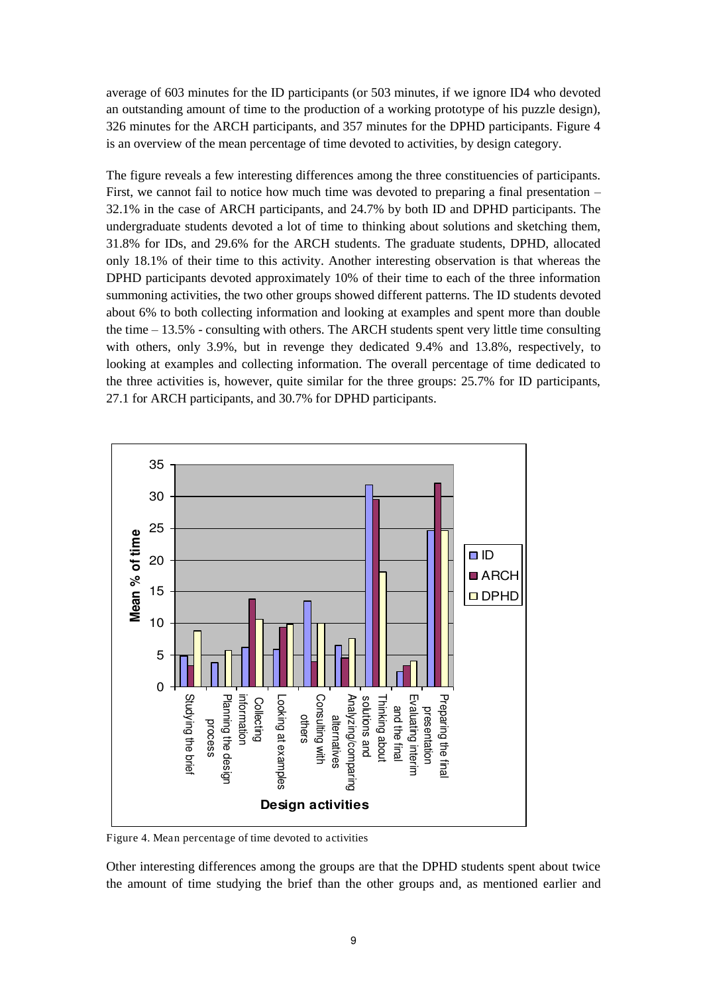average of 603 minutes for the ID participants (or 503 minutes, if we ignore ID4 who devoted an outstanding amount of time to the production of a working prototype of his puzzle design), 326 minutes for the ARCH participants, and 357 minutes for the DPHD participants. Figure 4 is an overview of the mean percentage of time devoted to activities, by design category.

The figure reveals a few interesting differences among the three constituencies of participants. First, we cannot fail to notice how much time was devoted to preparing a final presentation – 32.1% in the case of ARCH participants, and 24.7% by both ID and DPHD participants. The undergraduate students devoted a lot of time to thinking about solutions and sketching them, 31.8% for IDs, and 29.6% for the ARCH students. The graduate students, DPHD, allocated only 18.1% of their time to this activity. Another interesting observation is that whereas the DPHD participants devoted approximately 10% of their time to each of the three information summoning activities, the two other groups showed different patterns. The ID students devoted about 6% to both collecting information and looking at examples and spent more than double the time – 13.5% - consulting with others. The ARCH students spent very little time consulting with others, only 3.9%, but in revenge they dedicated 9.4% and 13.8%, respectively, to looking at examples and collecting information. The overall percentage of time dedicated to the three activities is, however, quite similar for the three groups: 25.7% for ID participants, 27.1 for ARCH participants, and 30.7% for DPHD participants.



Figure 4. Mean percentage of time devoted to activities

Other interesting differences among the groups are that the DPHD students spent about twice the amount of time studying the brief than the other groups and, as mentioned earlier and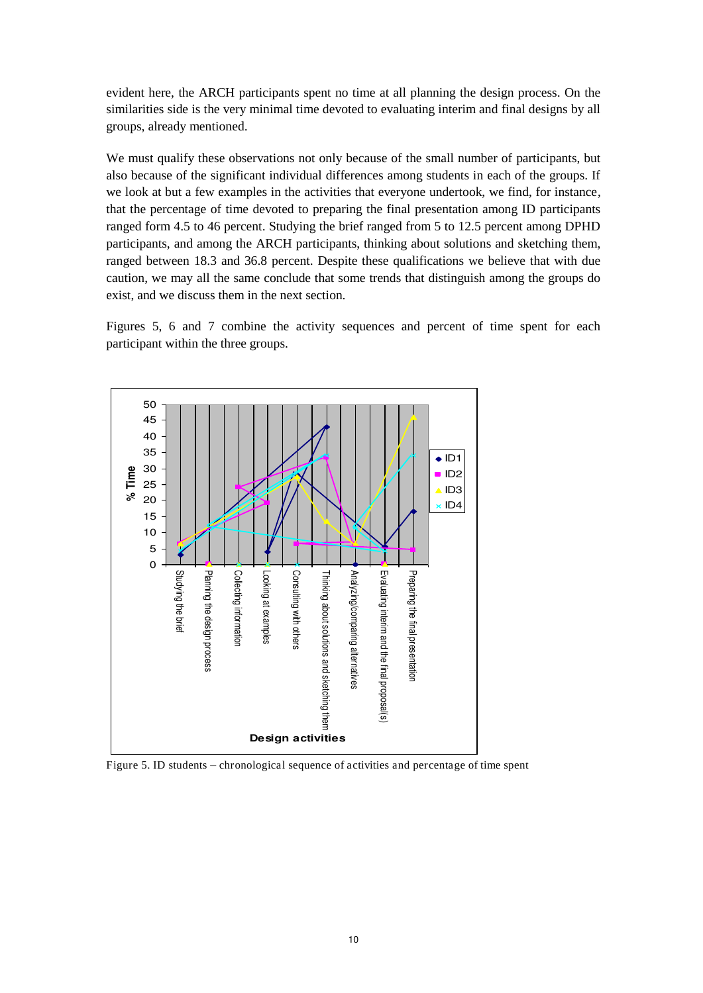evident here, the ARCH participants spent no time at all planning the design process. On the similarities side is the very minimal time devoted to evaluating interim and final designs by all groups, already mentioned.

We must qualify these observations not only because of the small number of participants, but also because of the significant individual differences among students in each of the groups. If we look at but a few examples in the activities that everyone undertook, we find, for instance, that the percentage of time devoted to preparing the final presentation among ID participants ranged form 4.5 to 46 percent. Studying the brief ranged from 5 to 12.5 percent among DPHD participants, and among the ARCH participants, thinking about solutions and sketching them, ranged between 18.3 and 36.8 percent. Despite these qualifications we believe that with due caution, we may all the same conclude that some trends that distinguish among the groups do exist, and we discuss them in the next section.

Figures 5, 6 and 7 combine the activity sequences and percent of time spent for each participant within the three groups.



Figure 5. ID students *–* chronological sequence of activities and percentage of time spent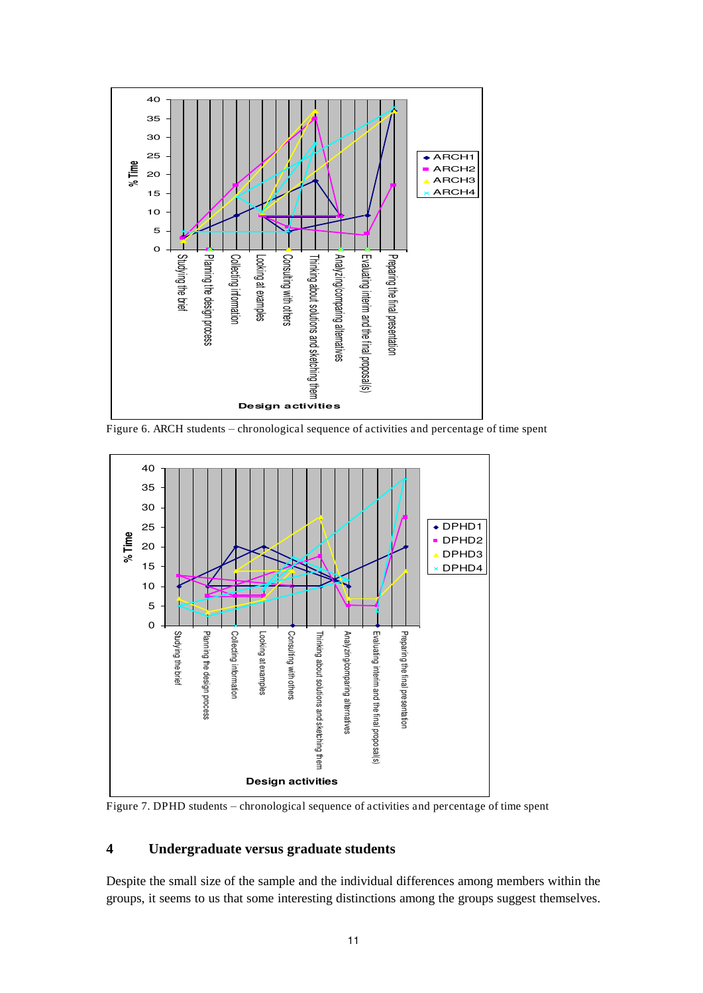

Figure 6. ARCH students *–* chronological sequence of activities and percentage of time spent



Figure 7. DPHD students *–* chronological sequence of activities and percentage of time spent

#### **4 Undergraduate versus graduate students**

Despite the small size of the sample and the individual differences among members within the groups, it seems to us that some interesting distinctions among the groups suggest themselves.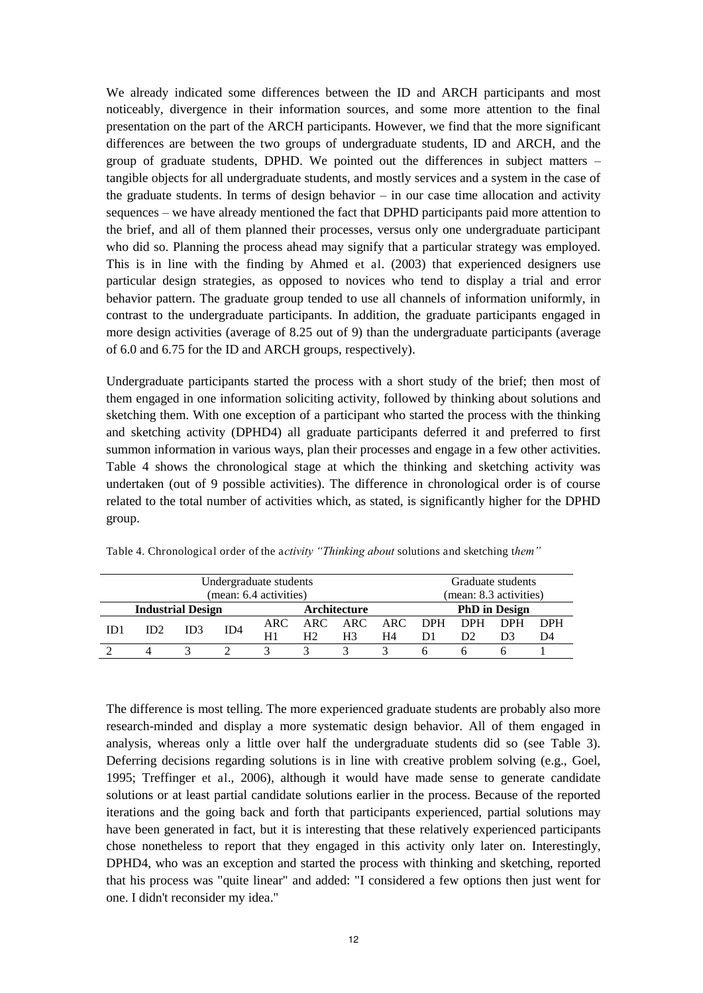We already indicated some differences between the ID and ARCH participants and most noticeably, divergence in their information sources, and some more attention to the final presentation on the part of the ARCH participants. However, we find that the more significant differences are between the two groups of undergraduate students, ID and ARCH, and the group of graduate students, DPHD. We pointed out the differences in subject matters – tangible objects for all undergraduate students, and mostly services and a system in the case of the graduate students. In terms of design behavior – in our case time allocation and activity sequences – we have already mentioned the fact that DPHD participants paid more attention to the brief, and all of them planned their processes, versus only one undergraduate participant who did so. Planning the process ahead may signify that a particular strategy was employed. This is in line with the finding by Ahmed et al. (2003) that experienced designers use particular design strategies, as opposed to novices who tend to display a trial and error behavior pattern. The graduate group tended to use all channels of information uniformly, in contrast to the undergraduate participants. In addition, the graduate participants engaged in more design activities (average of 8.25 out of 9) than the undergraduate participants (average of 6.0 and 6.75 for the ID and ARCH groups, respectively).

Undergraduate participants started the process with a short study of the brief; then most of them engaged in one information soliciting activity, followed by thinking about solutions and sketching them. With one exception of a participant who started the process with the thinking and sketching activity (DPHD4) all graduate participants deferred it and preferred to first summon information in various ways, plan their processes and engage in a few other activities. Table 4 shows the chronological stage at which the thinking and sketching activity was undertaken (out of 9 possible activities). The difference in chronological order is of course related to the total number of activities which, as stated, is significantly higher for the DPHD group.

| Undergraduate students<br>(mean: 6.4 activities) |     |  |                 |    |    |    |                         |    |                | Graduate students<br>(mean: 8.3 activities) |            |
|--------------------------------------------------|-----|--|-----------------|----|----|----|-------------------------|----|----------------|---------------------------------------------|------------|
| <b>Industrial Design</b><br>Architecture         |     |  |                 |    |    |    | <b>PhD</b> in Design    |    |                |                                             |            |
| ID1                                              | ID2 |  | ID <sub>4</sub> |    |    |    | ARC ARC ARC ARC DPH DPH |    |                | - DPH                                       | <b>DPH</b> |
|                                                  |     |  |                 | H1 | H2 | H3 | H4                      | ÐŦ | D <sub>2</sub> |                                             | D4         |
|                                                  |     |  |                 |    |    |    |                         |    |                |                                             |            |

Table 4. Chronological order of the a*ctivity "Thinking about* solutions and sketching t*hem"*

The difference is most telling. The more experienced graduate students are probably also more research-minded and display a more systematic design behavior. All of them engaged in analysis, whereas only a little over half the undergraduate students did so (see Table 3). Deferring decisions regarding solutions is in line with creative problem solving (e.g., Goel, 1995; Treffinger et al., 2006), although it would have made sense to generate candidate solutions or at least partial candidate solutions earlier in the process. Because of the reported iterations and the going back and forth that participants experienced, partial solutions may have been generated in fact, but it is interesting that these relatively experienced participants chose nonetheless to report that they engaged in this activity only later on. Interestingly, DPHD4, who was an exception and started the process with thinking and sketching, reported that his process was "quite linear" and added: "I considered a few options then just went for one. I didn't reconsider my idea."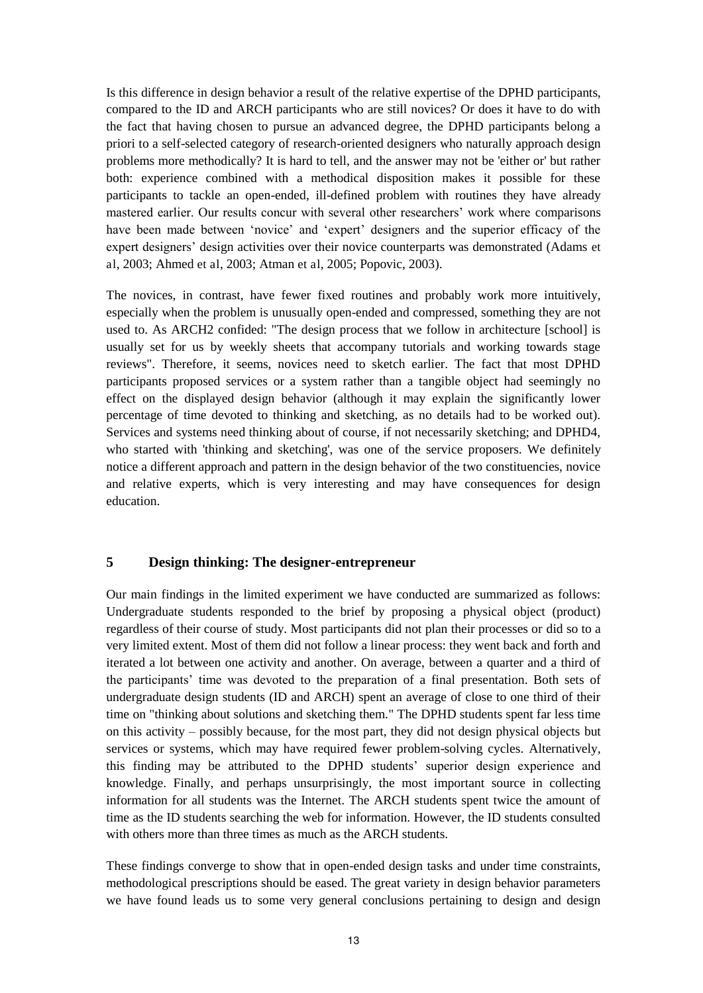Is this difference in design behavior a result of the relative expertise of the DPHD participants, compared to the ID and ARCH participants who are still novices? Or does it have to do with the fact that having chosen to pursue an advanced degree, the DPHD participants belong a priori to a self-selected category of research-oriented designers who naturally approach design problems more methodically? It is hard to tell, and the answer may not be 'either or' but rather both: experience combined with a methodical disposition makes it possible for these participants to tackle an open-ended, ill-defined problem with routines they have already mastered earlier. Our results concur with several other researchers' work where comparisons have been made between "novice' and "expert' designers and the superior efficacy of the expert designers' design activities over their novice counterparts was demonstrated (Adams et al, 2003; Ahmed et al, 2003; Atman et al, 2005; Popovic, 2003).

The novices, in contrast, have fewer fixed routines and probably work more intuitively, especially when the problem is unusually open-ended and compressed, something they are not used to. As ARCH2 confided: "The design process that we follow in architecture [school] is usually set for us by weekly sheets that accompany tutorials and working towards stage reviews". Therefore, it seems, novices need to sketch earlier. The fact that most DPHD participants proposed services or a system rather than a tangible object had seemingly no effect on the displayed design behavior (although it may explain the significantly lower percentage of time devoted to thinking and sketching, as no details had to be worked out). Services and systems need thinking about of course, if not necessarily sketching; and DPHD4, who started with 'thinking and sketching', was one of the service proposers. We definitely notice a different approach and pattern in the design behavior of the two constituencies, novice and relative experts, which is very interesting and may have consequences for design education.

#### **5 Design thinking: The designer-entrepreneur**

Our main findings in the limited experiment we have conducted are summarized as follows: Undergraduate students responded to the brief by proposing a physical object (product) regardless of their course of study. Most participants did not plan their processes or did so to a very limited extent. Most of them did not follow a linear process: they went back and forth and iterated a lot between one activity and another. On average, between a quarter and a third of the participants' time was devoted to the preparation of a final presentation. Both sets of undergraduate design students (ID and ARCH) spent an average of close to one third of their time on "thinking about solutions and sketching them." The DPHD students spent far less time on this activity – possibly because, for the most part, they did not design physical objects but services or systems, which may have required fewer problem-solving cycles. Alternatively, this finding may be attributed to the DPHD students' superior design experience and knowledge. Finally, and perhaps unsurprisingly, the most important source in collecting information for all students was the Internet. The ARCH students spent twice the amount of time as the ID students searching the web for information. However, the ID students consulted with others more than three times as much as the ARCH students.

These findings converge to show that in open-ended design tasks and under time constraints, methodological prescriptions should be eased. The great variety in design behavior parameters we have found leads us to some very general conclusions pertaining to design and design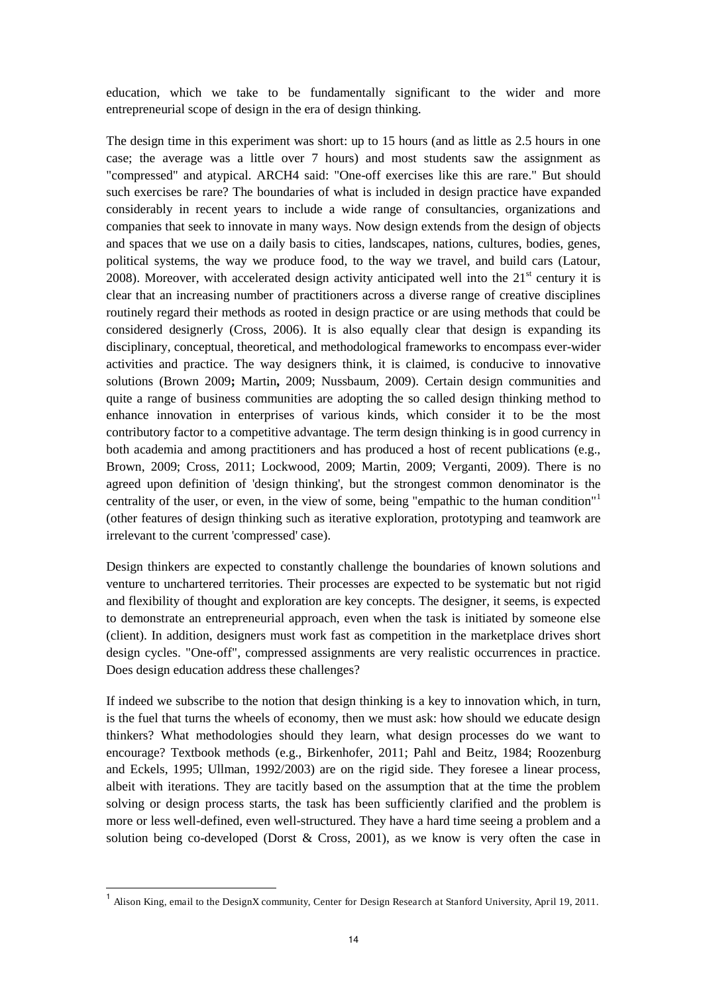education, which we take to be fundamentally significant to the wider and more entrepreneurial scope of design in the era of design thinking.

The design time in this experiment was short: up to 15 hours (and as little as 2.5 hours in one case; the average was a little over 7 hours) and most students saw the assignment as "compressed" and atypical. ARCH4 said: "One-off exercises like this are rare." But should such exercises be rare? The boundaries of what is included in design practice have expanded considerably in recent years to include a wide range of consultancies, organizations and companies that seek to innovate in many ways. Now design extends from the design of objects and spaces that we use on a daily basis to cities, landscapes, nations, cultures, bodies, genes, political systems, the way we produce food, to the way we travel, and build cars (Latour, 2008). Moreover, with accelerated design activity anticipated well into the  $21<sup>st</sup>$  century it is clear that an increasing number of practitioners across a diverse range of creative disciplines routinely regard their methods as rooted in design practice or are using methods that could be considered designerly (Cross, 2006). It is also equally clear that design is expanding its disciplinary, conceptual, theoretical, and methodological frameworks to encompass ever-wider activities and practice. The way designers think, it is claimed, is conducive to innovative solutions (Brown 2009**;** Martin**,** 2009; Nussbaum, 2009). Certain design communities and quite a range of business communities are adopting the so called design thinking method to enhance innovation in enterprises of various kinds, which consider it to be the most contributory factor to a competitive advantage. The term design thinking is in good currency in both academia and among practitioners and has produced a host of recent publications (e.g., Brown, 2009; Cross, 2011; Lockwood, 2009; Martin, 2009; Verganti, 2009). There is no agreed upon definition of 'design thinking', but the strongest common denominator is the centrality of the user, or even, in the view of some, being "empathic to the human condition"<sup>1</sup> (other features of design thinking such as iterative exploration, prototyping and teamwork are irrelevant to the current 'compressed' case).

Design thinkers are expected to constantly challenge the boundaries of known solutions and venture to unchartered territories. Their processes are expected to be systematic but not rigid and flexibility of thought and exploration are key concepts. The designer, it seems, is expected to demonstrate an entrepreneurial approach, even when the task is initiated by someone else (client). In addition, designers must work fast as competition in the marketplace drives short design cycles. "One-off", compressed assignments are very realistic occurrences in practice. Does design education address these challenges?

If indeed we subscribe to the notion that design thinking is a key to innovation which, in turn, is the fuel that turns the wheels of economy, then we must ask: how should we educate design thinkers? What methodologies should they learn, what design processes do we want to encourage? Textbook methods (e.g., Birkenhofer, 2011; Pahl and Beitz, 1984; Roozenburg and Eckels, 1995; Ullman, 1992/2003) are on the rigid side. They foresee a linear process, albeit with iterations. They are tacitly based on the assumption that at the time the problem solving or design process starts, the task has been sufficiently clarified and the problem is more or less well-defined, even well-structured. They have a hard time seeing a problem and a solution being co-developed (Dorst  $\&$  Cross, 2001), as we know is very often the case in

 1 Alison King, email to the DesignX community, Center for Design Research at Stanford University, April 19, 2011.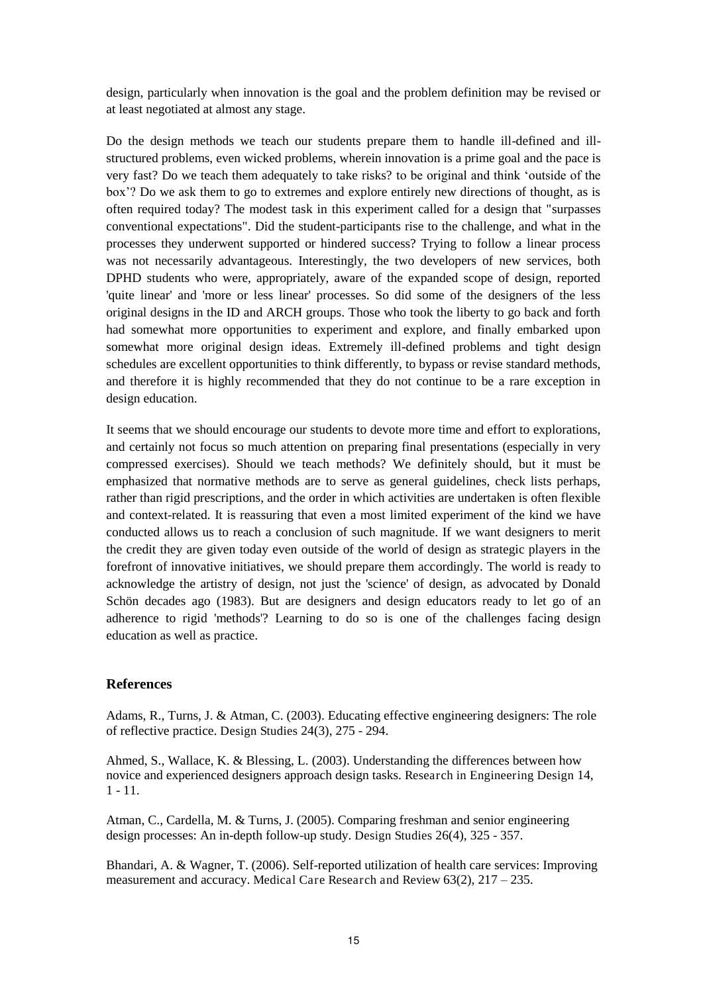design, particularly when innovation is the goal and the problem definition may be revised or at least negotiated at almost any stage.

Do the design methods we teach our students prepare them to handle ill-defined and illstructured problems, even wicked problems, wherein innovation is a prime goal and the pace is very fast? Do we teach them adequately to take risks? to be original and think "outside of the box'? Do we ask them to go to extremes and explore entirely new directions of thought, as is often required today? The modest task in this experiment called for a design that "surpasses conventional expectations". Did the student-participants rise to the challenge, and what in the processes they underwent supported or hindered success? Trying to follow a linear process was not necessarily advantageous. Interestingly, the two developers of new services, both DPHD students who were, appropriately, aware of the expanded scope of design, reported 'quite linear' and 'more or less linear' processes. So did some of the designers of the less original designs in the ID and ARCH groups. Those who took the liberty to go back and forth had somewhat more opportunities to experiment and explore, and finally embarked upon somewhat more original design ideas. Extremely ill-defined problems and tight design schedules are excellent opportunities to think differently, to bypass or revise standard methods, and therefore it is highly recommended that they do not continue to be a rare exception in design education.

It seems that we should encourage our students to devote more time and effort to explorations, and certainly not focus so much attention on preparing final presentations (especially in very compressed exercises). Should we teach methods? We definitely should, but it must be emphasized that normative methods are to serve as general guidelines, check lists perhaps, rather than rigid prescriptions, and the order in which activities are undertaken is often flexible and context-related. It is reassuring that even a most limited experiment of the kind we have conducted allows us to reach a conclusion of such magnitude. If we want designers to merit the credit they are given today even outside of the world of design as strategic players in the forefront of innovative initiatives, we should prepare them accordingly. The world is ready to acknowledge the artistry of design, not just the 'science' of design, as advocated by Donald Schön decades ago (1983). But are designers and design educators ready to let go of an adherence to rigid 'methods'? Learning to do so is one of the challenges facing design education as well as practice.

#### **References**

Adams, R., Turns, J. & Atman, C. (2003). Educating effective engineering designers: The role of reflective practice. Design Studies 24(3), 275 - 294.

Ahmed, S., Wallace, K. & Blessing, L. (2003). Understanding the differences between how novice and experienced designers approach design tasks. Research in Engineering Design 14, 1 - 11.

Atman, C., Cardella, M. & Turns, J. (2005). Comparing freshman and senior engineering design processes: An in-depth follow-up study. Design Studies 26(4), 325 - 357.

Bhandari, A. & Wagner, T. (2006). Self-reported utilization of health care services: Improving measurement and accuracy. Medical Care Research and Review 63(2), 217 – 235.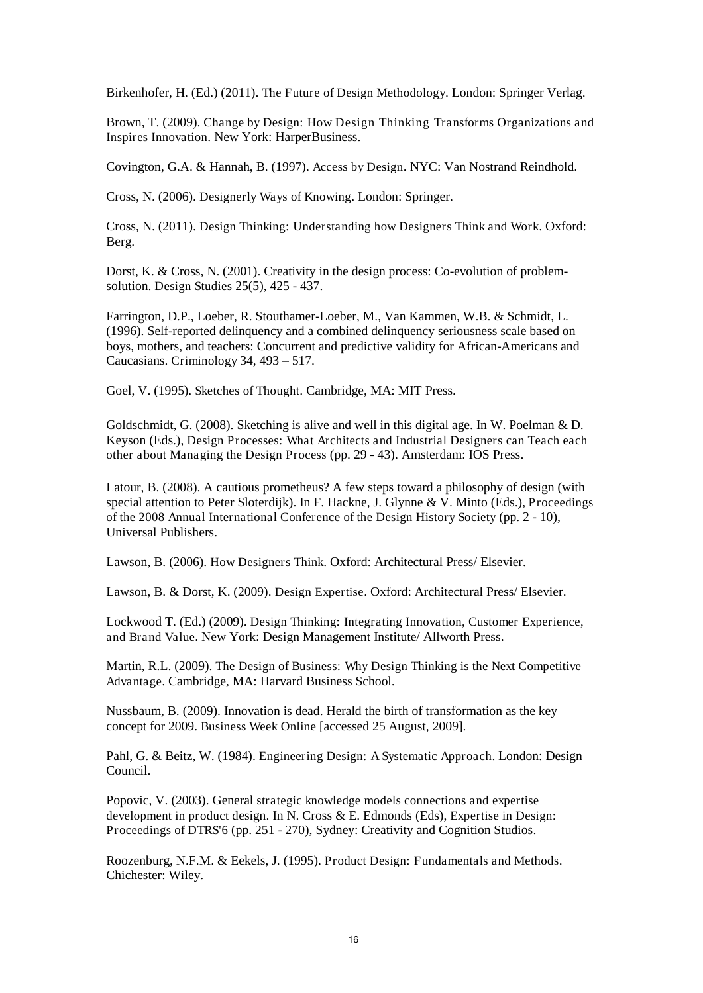Birkenhofer, H. (Ed.) (2011). The Future of Design Methodology. London: Springer Verlag.

Brown, T. (2009). Change by Design: How Design Thinking Transforms Organizations and Inspires Innovation. New York: HarperBusiness.

Covington, G.A. & Hannah, B. (1997). Access by Design. NYC: Van Nostrand Reindhold.

Cross, N. (2006). Designerly Ways of Knowing. London: Springer.

Cross, N. (2011). Design Thinking: Understanding how Designers Think and Work. Oxford: Berg.

Dorst, K. & Cross, N. (2001). Creativity in the design process: Co-evolution of problemsolution. Design Studies 25(5), 425 - 437.

Farrington, D.P., Loeber, R. Stouthamer-Loeber, M., Van Kammen, W.B. & Schmidt, L. (1996). Self-reported delinquency and a combined delinquency seriousness scale based on boys, mothers, and teachers: Concurrent and predictive validity for African-Americans and Caucasians. Criminology 34, 493 – 517.

Goel, V. (1995). Sketches of Thought. Cambridge, MA: MIT Press.

Goldschmidt, G. (2008). Sketching is alive and well in this digital age. In W. Poelman & D. Keyson (Eds.), Design Processes: What Architects and Industrial Designers can Teach each other about Managing the Design Process (pp. 29 - 43). Amsterdam: IOS Press.

Latour, B. (2008). A cautious prometheus? A few steps toward a philosophy of design (with special attention to Peter Sloterdijk). In F. Hackne, J. Glynne & V. Minto (Eds.), Proceedings of the 2008 Annual International Conference of the Design History Society (pp. 2 - 10), Universal Publishers.

Lawson, B. (2006). How Designers Think. Oxford: Architectural Press/ Elsevier.

Lawson, B. & Dorst, K. (2009). Design Expertise. Oxford: Architectural Press/ Elsevier.

Lockwood T. (Ed.) (2009). [Design Thinking: Integrating Innovation, Customer Experience,](javascript:amz_js_RefreshOriginalWindow()  [and Brand Value](javascript:amz_js_RefreshOriginalWindow(). New York: Design Management Institute/ Allworth Press.

Martin, R.L. (2009). The Design of Business: Why Design Thinking is the Next Competitive Advantage. Cambridge, MA: Harvard Business School.

Nussbaum, B. (2009). Innovation is dead. Herald the birth of transformation as the key concept for 2009. Business Week Online [accessed 25 August, 2009].

Pahl, G. & Beitz, W. (1984). Engineering Design: A Systematic Approach. London: Design Council.

Popovic, V. (2003). General strategic knowledge models connections and expertise development in product design. In N. Cross & E. Edmonds (Eds), Expertise in Design: Proceedings of DTRS'6 (pp. 251 - 270), Sydney: Creativity and Cognition Studios.

Roozenburg, N.F.M. & Eekels, J. (1995). Product Design: Fundamentals and Methods. Chichester: Wiley.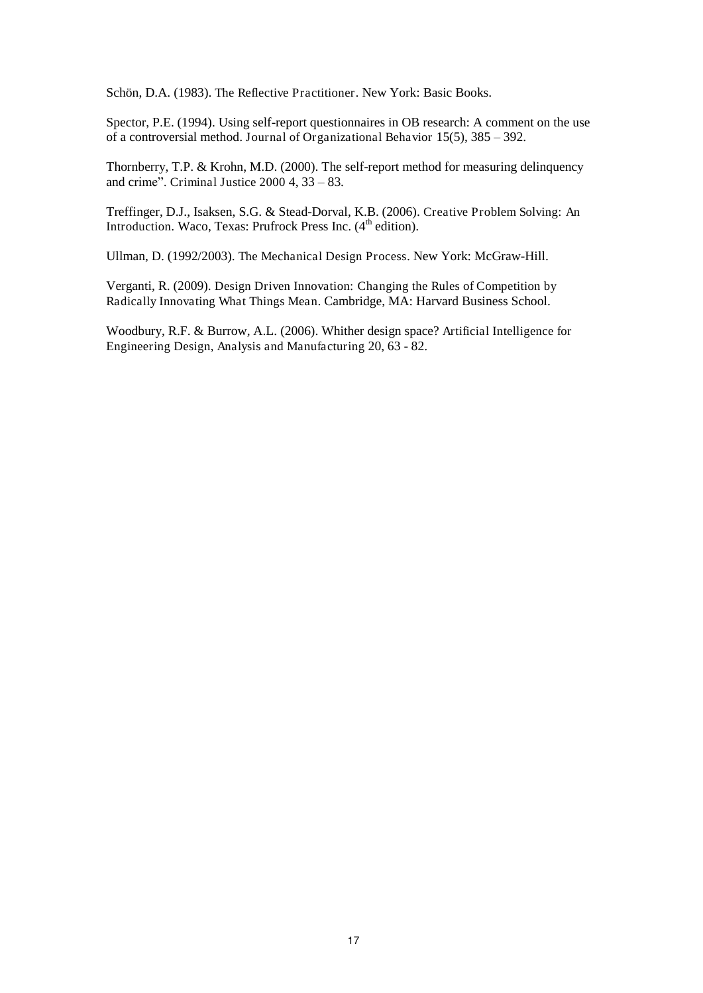Schön, D.A. (1983). The Reflective Practitioner. New York: Basic Books.

Spector, P.E. (1994). Using self-report questionnaires in OB research: A comment on the use of a controversial method. Journal of Organizational Behavior 15(5), 385 – 392.

Thornberry, T.P. & Krohn, M.D. (2000). The self-report method for measuring delinquency and crime". Criminal Justice 2000 4, 33 – 83.

Treffinger, D.J., Isaksen, S.G. & Stead-Dorval, K.B. (2006). Creative Problem Solving: An Introduction. Waco, Texas: Prufrock Press Inc. (4<sup>th</sup> edition).

Ullman, D. (1992/2003). The Mechanical Design Process. New York: McGraw-Hill.

Verganti, R. (2009). Design Driven Innovation: Changing the Rules of Competition by Radically Innovating What Things Mean. Cambridge, MA: Harvard Business School.

Woodbury, R.F. & Burrow, A.L. (2006). Whither design space? Artificial Intelligence for Engineering Design, Analysis and Manufacturing 20, 63 - 82.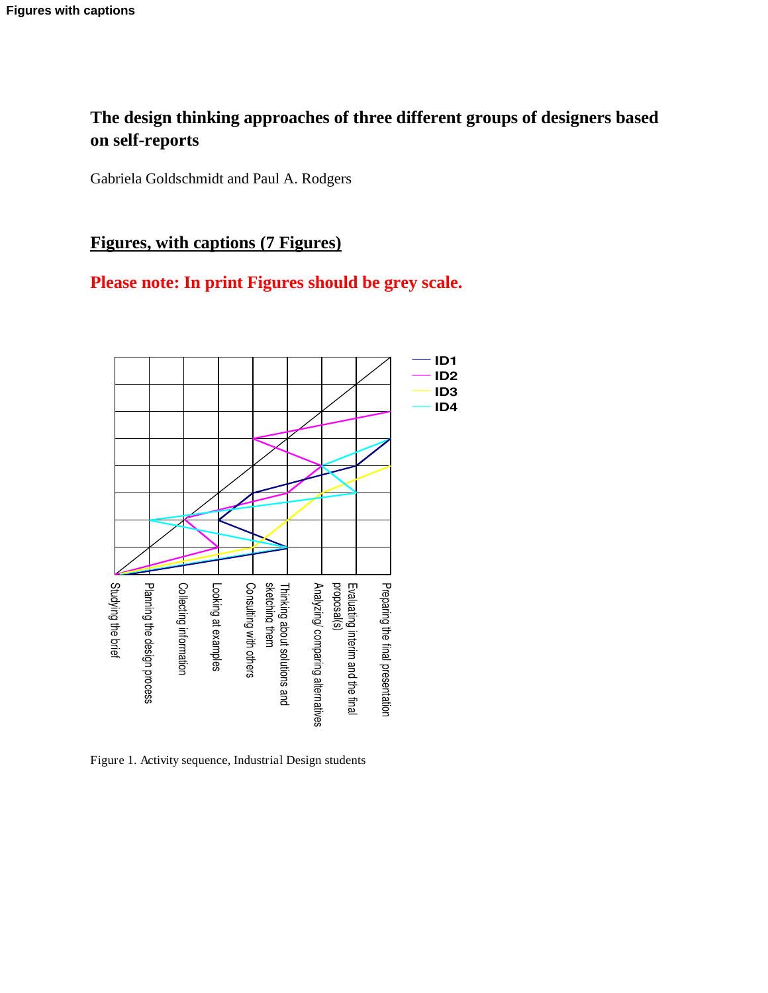Gabriela Goldschmidt and Paul A. Rodgers

### **Figures, with captions (7 Figures)**

#### **Please note: In print Figures should be grey scale.**



Figure 1. Activity sequence, Industrial Design students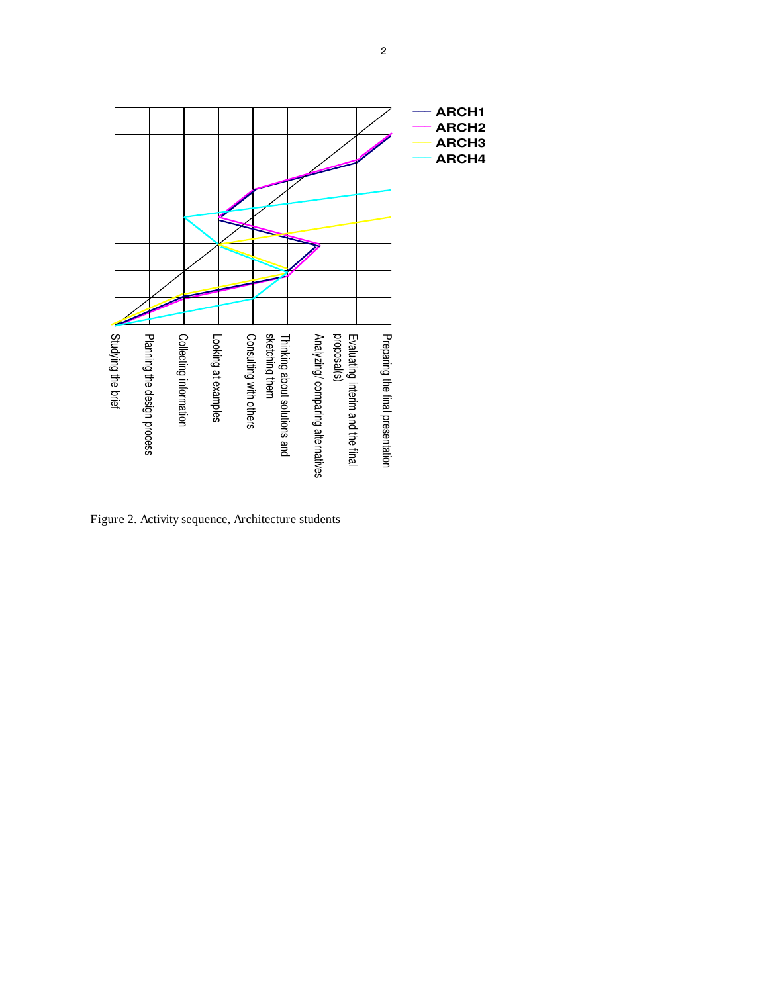

Figure 2. Activity sequence, Architecture students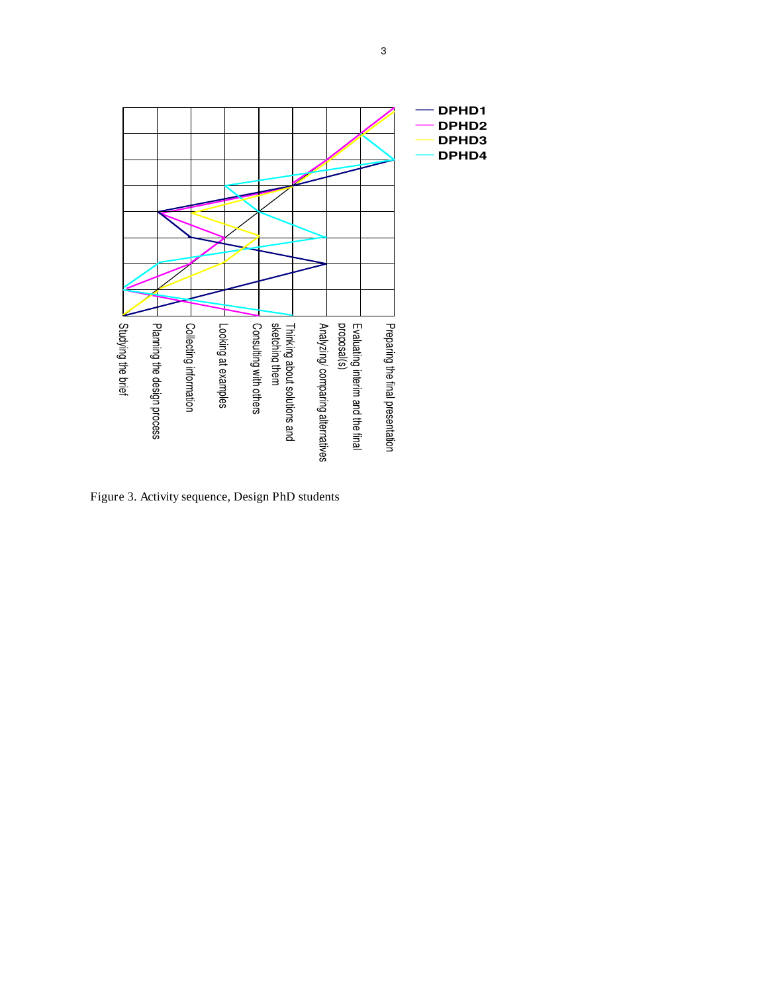

Figure 3. Activity sequence, Design PhD students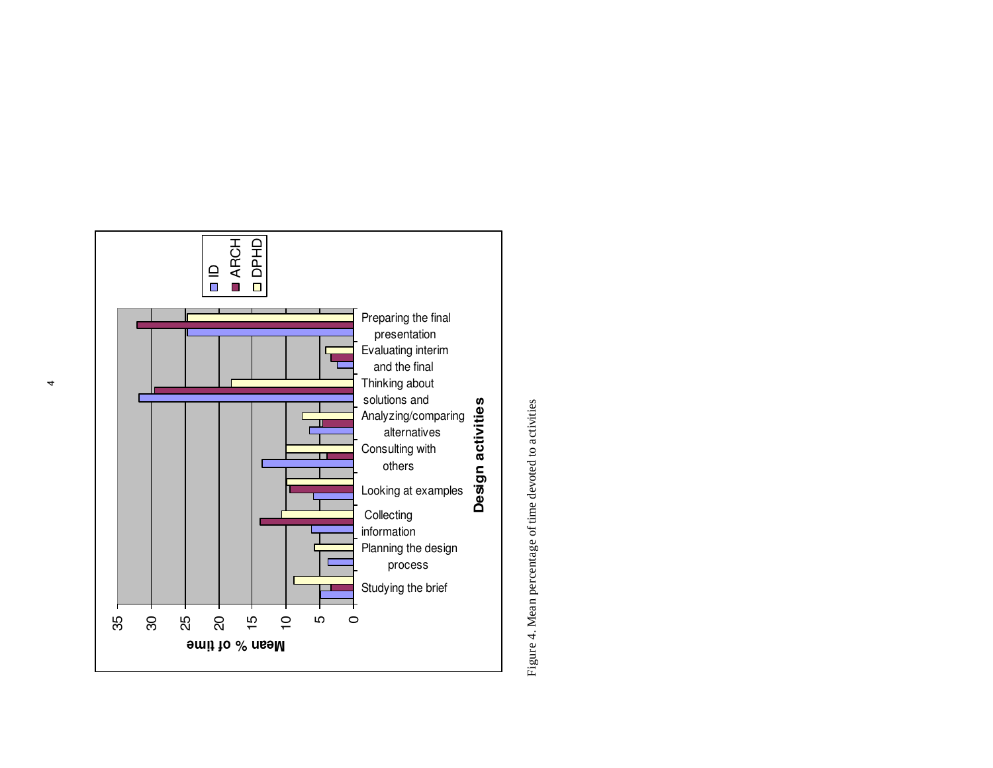

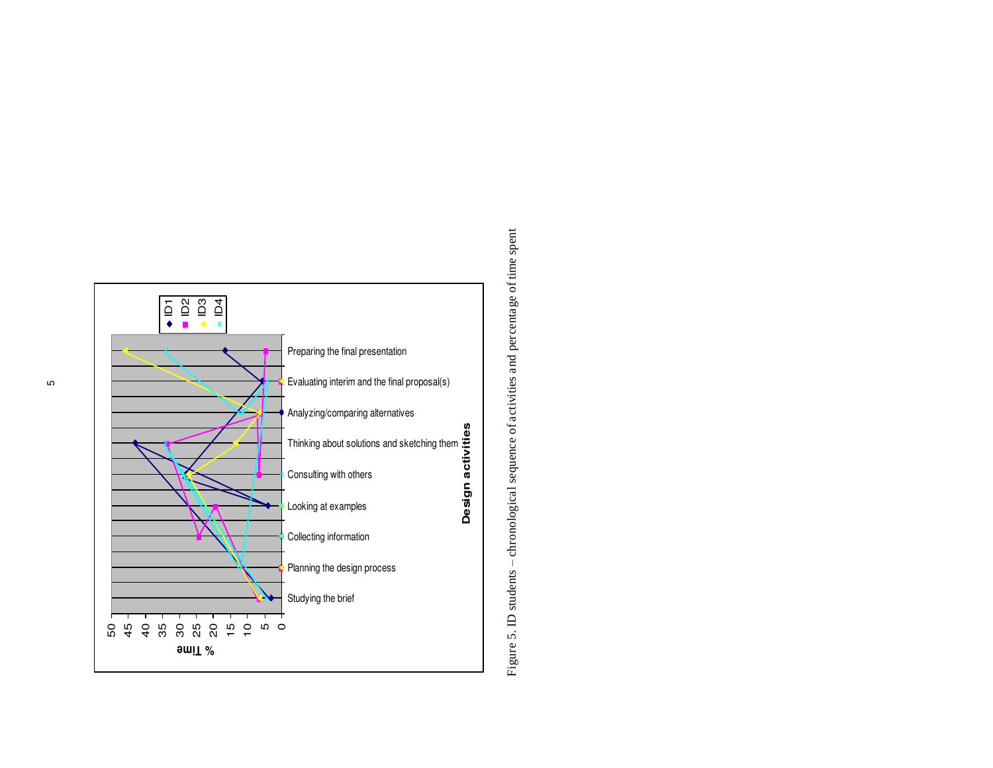

Figure 5. ID students - chronological sequence of activities and percentage of time spent Figure 5. ID students *–* chronological sequence of activities and percentage of time spent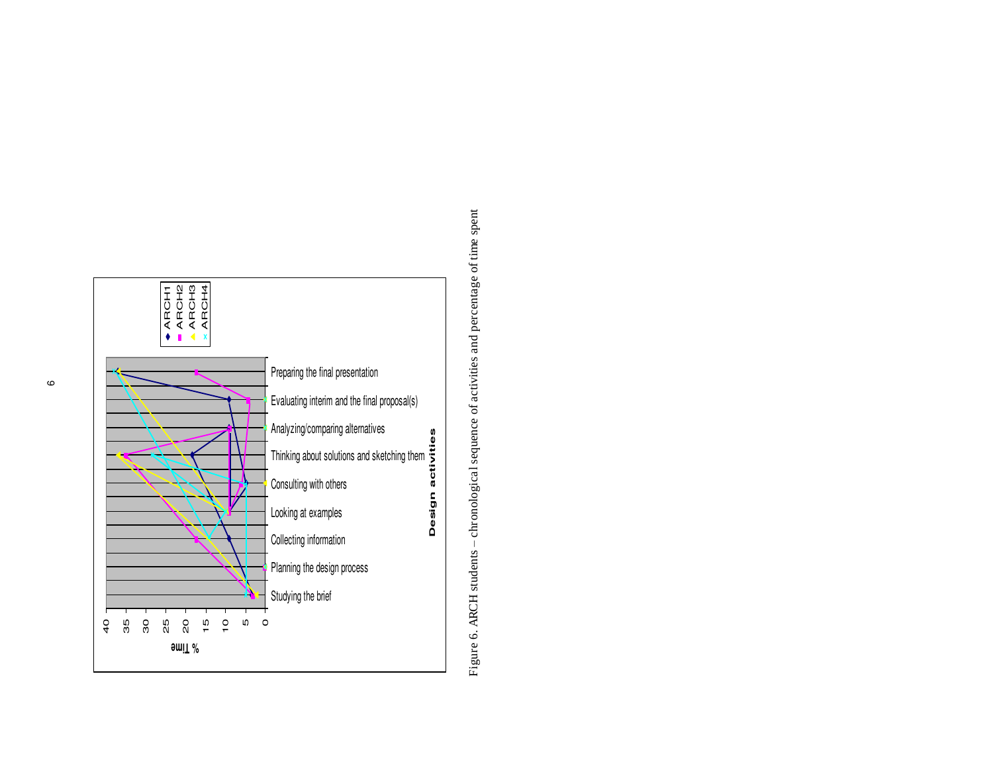

Figure 6. ARCH students *–* chronological sequence of activities and percentage of time spent Figure 6. ARCH students - chronological sequence of activities and percentage of time spent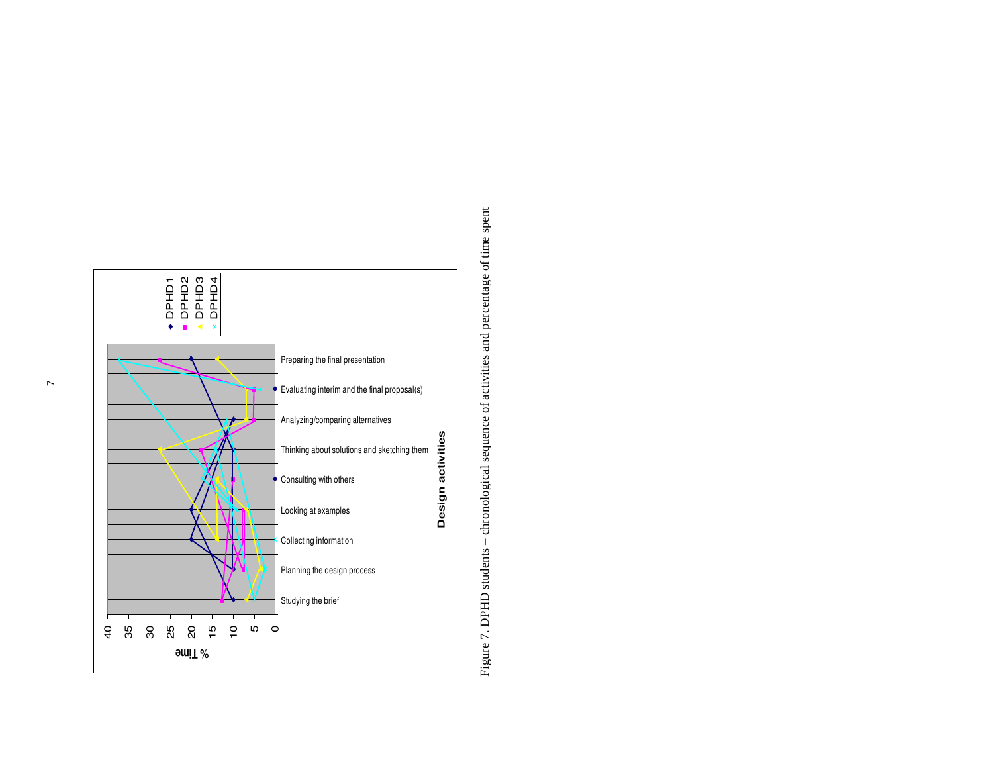

Figure 7. DPHD students - chronological sequence of activities and percentage of time spent Figure 7. DPHD students *–* chronological sequence of activities and percentage of time spent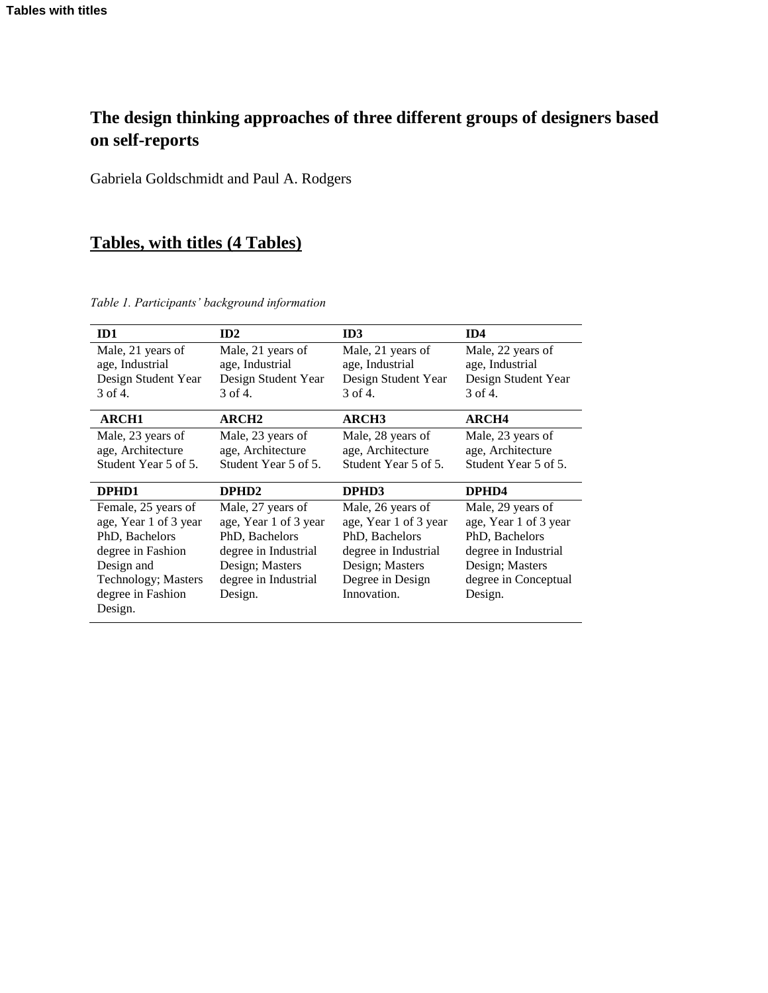Gabriela Goldschmidt and Paul A. Rodgers

## **Tables, with titles (4 Tables)**

| ID1                   | ID2                   | ID3                   | ID4                   |
|-----------------------|-----------------------|-----------------------|-----------------------|
| Male, 21 years of     | Male, 21 years of     | Male, 21 years of     | Male, 22 years of     |
| age, Industrial       | age, Industrial       | age, Industrial       | age, Industrial       |
| Design Student Year   | Design Student Year   | Design Student Year   | Design Student Year   |
| 3 of 4.               | $3$ of 4.             | 3 of 4.               | 3 of 4.               |
| <b>ARCH1</b>          | <b>ARCH2</b>          | <b>ARCH3</b>          | ARCH4                 |
| Male, 23 years of     | Male, 23 years of     | Male, 28 years of     | Male, 23 years of     |
| age, Architecture     | age, Architecture     | age, Architecture     | age, Architecture     |
| Student Year 5 of 5.  | Student Year 5 of 5.  | Student Year 5 of 5.  | Student Year 5 of 5.  |
| DPHD1                 | DPHD <sub>2</sub>     | DPHD3                 | DPHD4                 |
| Female, 25 years of   | Male, 27 years of     | Male, 26 years of     | Male, 29 years of     |
| age, Year 1 of 3 year | age, Year 1 of 3 year | age, Year 1 of 3 year | age, Year 1 of 3 year |
| PhD, Bachelors        | PhD, Bachelors        | PhD, Bachelors        | PhD, Bachelors        |
| degree in Fashion     | degree in Industrial  | degree in Industrial  | degree in Industrial  |
| Design and            | Design; Masters       | Design; Masters       | Design; Masters       |
| Technology; Masters   | degree in Industrial  | Degree in Design      | degree in Conceptual  |
| degree in Fashion     | Design.               | Innovation.           | Design.               |
| Design.               |                       |                       |                       |

*Table 1. Participants' background information*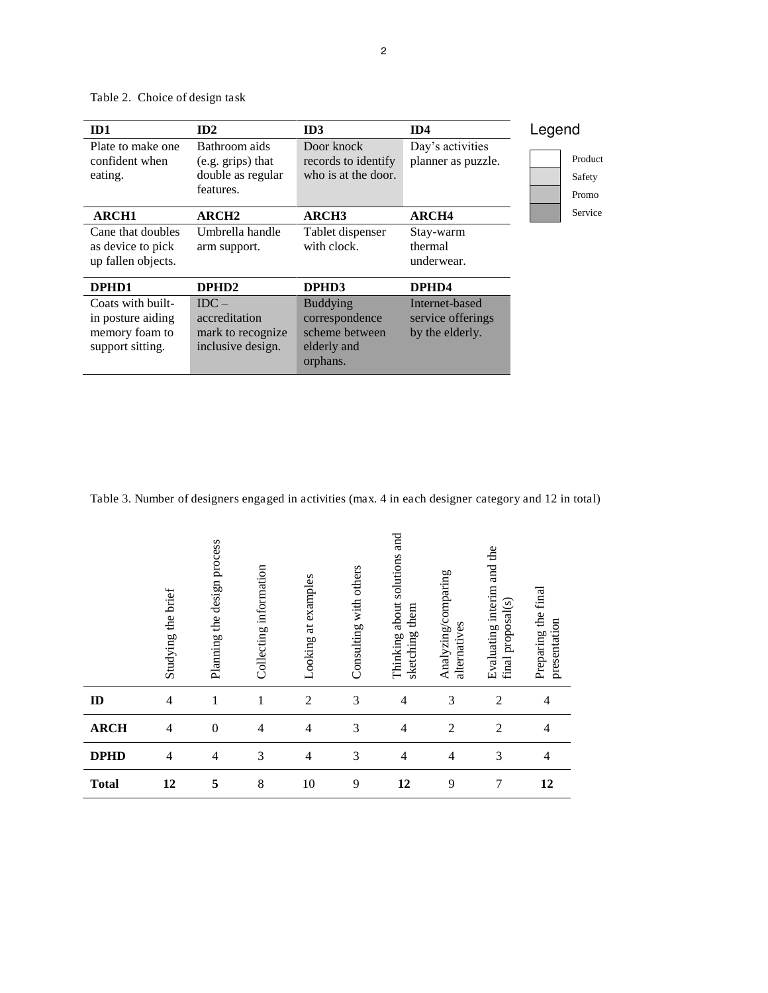| ID1                                                                          | ID2                                                                  | ID3                                                                            | ID4                                                    | Legend                     |
|------------------------------------------------------------------------------|----------------------------------------------------------------------|--------------------------------------------------------------------------------|--------------------------------------------------------|----------------------------|
| Plate to make one<br>confident when<br>eating.                               | Bathroom aids<br>(e.g. grips) that<br>double as regular<br>features. | Door knock<br>records to identify<br>who is at the door.                       | Day's activities<br>planner as puzzle.                 | Product<br>Safety<br>Promo |
| ARCH <sub>1</sub>                                                            | ARCH <sub>2</sub>                                                    | ARCH <sub>3</sub>                                                              | ARCH4                                                  | Service                    |
| Cane that doubles<br>as device to pick<br>up fallen objects.                 | Umbrella handle<br>arm support.                                      | Tablet dispenser<br>with clock.                                                | Stay-warm<br>thermal<br>underwear.                     |                            |
| DPHD1                                                                        | DPHD <sub>2</sub>                                                    | DPHD3                                                                          | DPHD4                                                  |                            |
| Coats with built-<br>in posture aiding<br>memory foam to<br>support sitting. | $IDC -$<br>accreditation<br>mark to recognize<br>inclusive design.   | <b>Buddying</b><br>correspondence<br>scheme between<br>elderly and<br>orphans. | Internet-based<br>service offerings<br>by the elderly. |                            |

Table 2. Choice of design task

Table 3. Number of designers engaged in activities (max. 4 in each designer category and 12 in total)

|              | Studying the brief | Planning the design process | Collecting information | Looking at examples | Consulting with others | and<br>Thinking about solutions<br>sketching them | Analyzing/comparing<br>alternatives | Evaluating interim and the<br>final proposal(s) | Preparing the final<br>presentation |
|--------------|--------------------|-----------------------------|------------------------|---------------------|------------------------|---------------------------------------------------|-------------------------------------|-------------------------------------------------|-------------------------------------|
| ID           | $\overline{4}$     | 1                           | 1                      | $\overline{2}$      | 3                      | $\overline{4}$                                    | 3                                   | $\overline{2}$                                  | 4                                   |
| <b>ARCH</b>  | $\overline{4}$     | $\boldsymbol{0}$            | $\overline{4}$         | $\overline{4}$      | 3                      | $\overline{4}$                                    | $\overline{2}$                      | $\overline{2}$                                  | 4                                   |
| <b>DPHD</b>  | $\overline{4}$     | $\overline{4}$              | 3                      | $\overline{4}$      | 3                      | 4                                                 | $\overline{4}$                      | 3                                               | 4                                   |
| <b>Total</b> | 12                 | 5                           | 8                      | 10                  | 9                      | 12                                                | 9                                   | 7                                               | 12                                  |